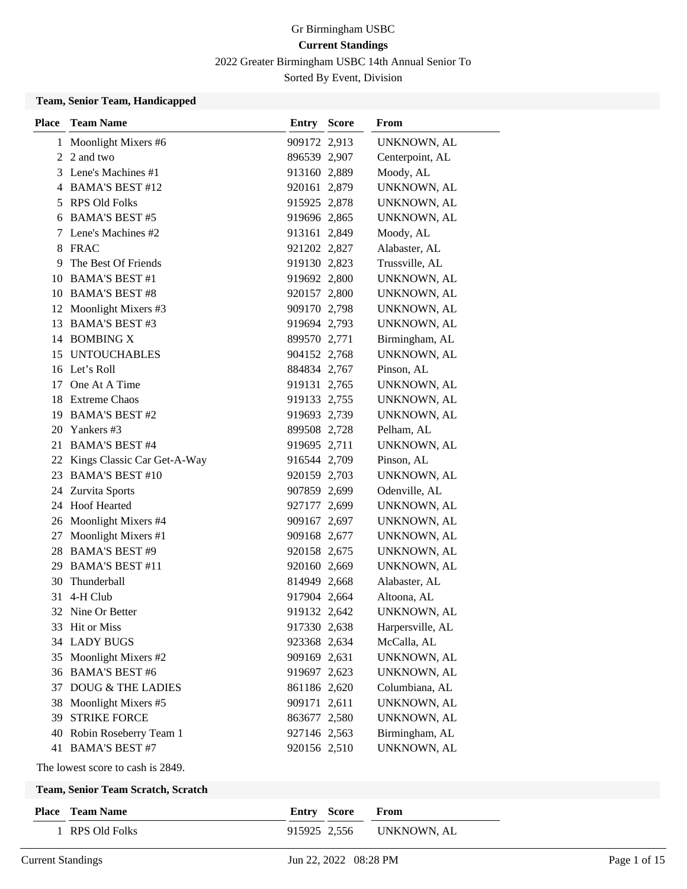2022 Greater Birmingham USBC 14th Annual Senior To

Sorted By Event, Division

#### **Team, Senior Team, Handicapped**

| <b>Place</b> | <b>Team Name</b>               | <b>Entry Score</b> | From             |
|--------------|--------------------------------|--------------------|------------------|
|              | 1 Moonlight Mixers #6          | 909172 2,913       | UNKNOWN, AL      |
|              | 2 2 and two                    | 896539 2,907       | Centerpoint, AL  |
|              | 3 Lene's Machines #1           | 913160 2,889       | Moody, AL        |
|              | 4 BAMA'S BEST #12              | 920161 2,879       | UNKNOWN, AL      |
|              | 5 RPS Old Folks                | 915925 2,878       | UNKNOWN, AL      |
|              | 6 BAMA'S BEST #5               | 919696 2,865       | UNKNOWN, AL      |
|              | 7 Lene's Machines #2           | 913161 2,849       | Moody, AL        |
|              | 8 FRAC                         | 921202 2,827       | Alabaster, AL    |
| 9            | The Best Of Friends            | 919130 2,823       | Trussville, AL   |
|              | 10 BAMA'S BEST #1              | 919692 2,800       | UNKNOWN, AL      |
|              | 10 BAMA'S BEST #8              | 920157 2,800       | UNKNOWN, AL      |
|              | 12 Moonlight Mixers #3         | 909170 2,798       | UNKNOWN, AL      |
|              | 13 BAMA'S BEST #3              | 919694 2,793       | UNKNOWN, AL      |
|              | 14 BOMBING X                   | 899570 2,771       | Birmingham, AL   |
|              | 15 UNTOUCHABLES                | 904152 2,768       | UNKNOWN, AL      |
|              | 16 Let's Roll                  | 884834 2,767       | Pinson, AL       |
| 17           | One At A Time                  | 919131 2,765       | UNKNOWN, AL      |
|              | 18 Extreme Chaos               | 919133 2,755       | UNKNOWN, AL      |
|              | 19 BAMA'S BEST #2              | 919693 2,739       | UNKNOWN, AL      |
|              | 20 Yankers #3                  | 899508 2,728       | Pelham, AL       |
|              | 21 BAMA'S BEST #4              | 919695 2,711       | UNKNOWN, AL      |
|              | 22 Kings Classic Car Get-A-Way | 916544 2,709       | Pinson, AL       |
|              | 23 BAMA'S BEST #10             | 920159 2,703       | UNKNOWN, AL      |
|              | 24 Zurvita Sports              | 907859 2,699       | Odenville, AL    |
|              | 24 Hoof Hearted                | 927177 2,699       | UNKNOWN, AL      |
|              | 26 Moonlight Mixers #4         | 909167 2,697       | UNKNOWN, AL      |
|              | 27 Moonlight Mixers #1         | 909168 2,677       | UNKNOWN, AL      |
|              | 28 BAMA'S BEST #9              | 920158 2,675       | UNKNOWN, AL      |
|              | 29 BAMA'S BEST #11             | 920160 2,669       | UNKNOWN, AL      |
|              | 30 Thunderball                 | 814949 2,668       | Alabaster, AL    |
|              | 31 4-H Club                    | 917904 2,664       | Altoona, AL      |
|              | 32 Nine Or Better              | 919132 2,642       | UNKNOWN, AL      |
|              | 33 Hit or Miss                 | 917330 2,638       | Harpersville, AL |
|              | 34 LADY BUGS                   | 923368 2,634       | McCalla, AL      |
|              | 35 Moonlight Mixers #2         | 909169 2,631       | UNKNOWN, AL      |
|              | 36 BAMA'S BEST #6              | 919697 2,623       | UNKNOWN, AL      |
| 37           | DOUG & THE LADIES              | 861186 2,620       | Columbiana, AL   |
| 38           | Moonlight Mixers #5            | 909171 2,611       | UNKNOWN, AL      |
| 39           | <b>STRIKE FORCE</b>            | 863677 2,580       | UNKNOWN, AL      |
| 40           | Robin Roseberry Team 1         | 927146 2,563       | Birmingham, AL   |
|              | 41 BAMA'S BEST #7              | 920156 2,510       | UNKNOWN, AL      |

The lowest score to cash is 2849.

### **Team, Senior Team Scratch, Scratch**

| <b>Place</b> Team Name | <b>Entry Score From</b> |                          |
|------------------------|-------------------------|--------------------------|
| 1 RPS Old Folks        |                         | 915925 2.556 UNKNOWN, AL |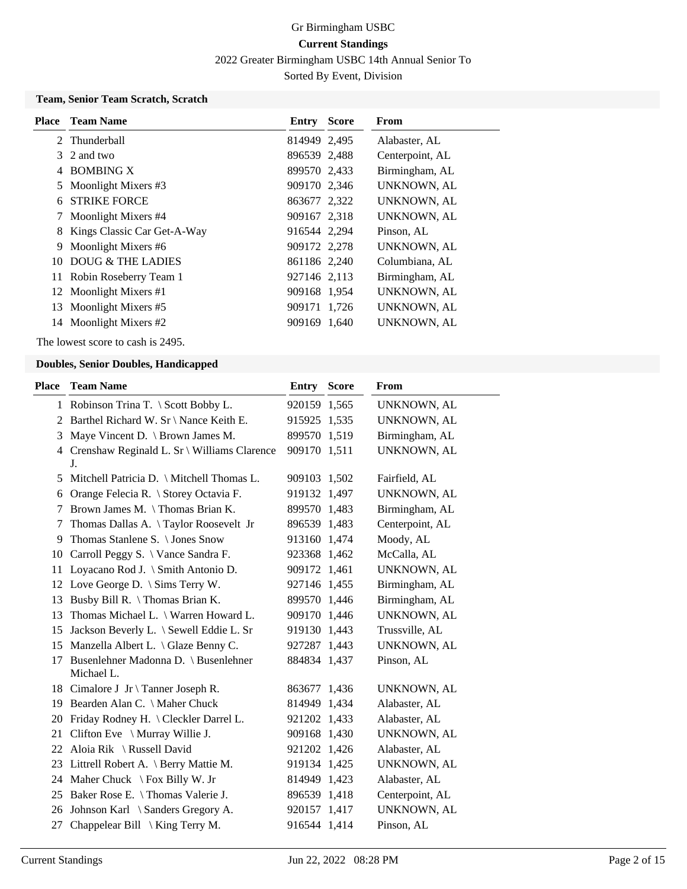2022 Greater Birmingham USBC 14th Annual Senior To

Sorted By Event, Division

### **Team, Senior Team Scratch, Scratch**

|    | <b>Place</b> Team Name      | Entry        | <b>Score</b> | From               |
|----|-----------------------------|--------------|--------------|--------------------|
|    | 2. Thunderball              | 814949 2,495 |              | Alabaster, AL      |
|    | 3 2 and two                 | 896539 2,488 |              | Centerpoint, AL    |
|    | 4 BOMBING X                 | 899570 2,433 |              | Birmingham, AL     |
|    | 5 Moonlight Mixers #3       | 909170 2,346 |              | <b>UNKNOWN, AL</b> |
| 6  | <b>STRIKE FORCE</b>         | 863677 2,322 |              | <b>UNKNOWN, AL</b> |
|    | Moonlight Mixers #4         | 909167 2,318 |              | UNKNOWN, AL        |
| 8  | Kings Classic Car Get-A-Way | 916544 2,294 |              | Pinson, AL         |
| 9  | Moonlight Mixers #6         | 909172 2,278 |              | UNKNOWN, AL        |
|    | 10 DOUG & THE LADIES        | 861186 2,240 |              | Columbiana, AL     |
|    | 11 Robin Roseberry Team 1   | 927146 2,113 |              | Birmingham, AL     |
|    | 12 Moonlight Mixers #1      | 909168 1,954 |              | UNKNOWN, AL        |
| 13 | Moonlight Mixers #5         | 909171 1,726 |              | <b>UNKNOWN, AL</b> |
| 14 | Moonlight Mixers #2         | 909169 1,640 |              | <b>UNKNOWN, AL</b> |

The lowest score to cash is 2495.

#### **Doubles, Senior Doubles, Handicapped**

| <b>Place</b> | <b>Team Name</b>                                    | <b>Entry</b> | <b>Score</b> | <b>From</b>        |
|--------------|-----------------------------------------------------|--------------|--------------|--------------------|
|              | 1 Robinson Trina T. \ Scott Bobby L.                | 920159 1,565 |              | UNKNOWN, AL        |
|              | 2 Barthel Richard W. Sr \ Nance Keith E.            | 915925 1,535 |              | UNKNOWN, AL        |
| 3            | Maye Vincent D. \ Brown James M.                    | 899570 1,519 |              | Birmingham, AL     |
|              | 4 Crenshaw Reginald L. Sr \ Williams Clarence<br>J. | 909170 1,511 |              | UNKNOWN, AL        |
| 5            | Mitchell Patricia D. \ Mitchell Thomas L.           | 909103 1,502 |              | Fairfield, AL      |
| 6            | Orange Felecia R. \ Storey Octavia F.               | 919132 1,497 |              | UNKNOWN, AL        |
| 7            | Brown James M. \Thomas Brian K.                     | 899570 1,483 |              | Birmingham, AL     |
| 7            | Thomas Dallas A. \Taylor Roosevelt Jr               | 896539 1,483 |              | Centerpoint, AL    |
| 9            | Thomas Stanlene S. \ Jones Snow                     | 913160 1,474 |              | Moody, AL          |
| 10           | Carroll Peggy S. \ Vance Sandra F.                  | 923368 1,462 |              | McCalla, AL        |
| 11           | Loyacano Rod J. \ Smith Antonio D.                  | 909172 1,461 |              | UNKNOWN, AL        |
| 12           | Love George D. $\Im$ Sims Terry W.                  | 927146 1,455 |              | Birmingham, AL     |
| 13           | Busby Bill R. \Thomas Brian K.                      | 899570 1,446 |              | Birmingham, AL     |
| 13           | Thomas Michael L. \ Warren Howard L.                | 909170 1,446 |              | UNKNOWN, AL        |
| 15           | Jackson Beverly L. \ Sewell Eddie L. Sr             | 919130 1,443 |              | Trussville, AL     |
|              | 15 Manzella Albert L. \ Glaze Benny C.              | 927287 1,443 |              | UNKNOWN, AL        |
| 17           | Busenlehner Madonna D. \ Busenlehner<br>Michael L.  | 884834 1,437 |              | Pinson, AL         |
|              | 18 Cimalore J Jr \ Tanner Joseph R.                 | 863677 1,436 |              | <b>UNKNOWN, AL</b> |
|              | 19 Bearden Alan C. \ Maher Chuck                    | 814949 1,434 |              | Alabaster, AL      |
| 20           | Friday Rodney H. \ Cleckler Darrel L.               | 921202 1,433 |              | Alabaster, AL      |
| 21           | Clifton Eve \ Murray Willie J.                      | 909168 1,430 |              | UNKNOWN, AL        |
| 22           | Aloia Rik \ Russell David                           | 921202 1,426 |              | Alabaster, AL      |
|              | 23 Littrell Robert A. \ Berry Mattie M.             | 919134 1,425 |              | UNKNOWN, AL        |
|              | 24 Maher Chuck \ Fox Billy W. Jr                    | 814949 1,423 |              | Alabaster, AL      |
| 25           | Baker Rose E. \Thomas Valerie J.                    | 896539 1,418 |              | Centerpoint, AL    |
| 26           | Johnson Karl \ Sanders Gregory A.                   | 920157 1,417 |              | UNKNOWN, AL        |
| 27           | Chappelear Bill $\setminus$ King Terry M.           | 916544 1,414 |              | Pinson, AL         |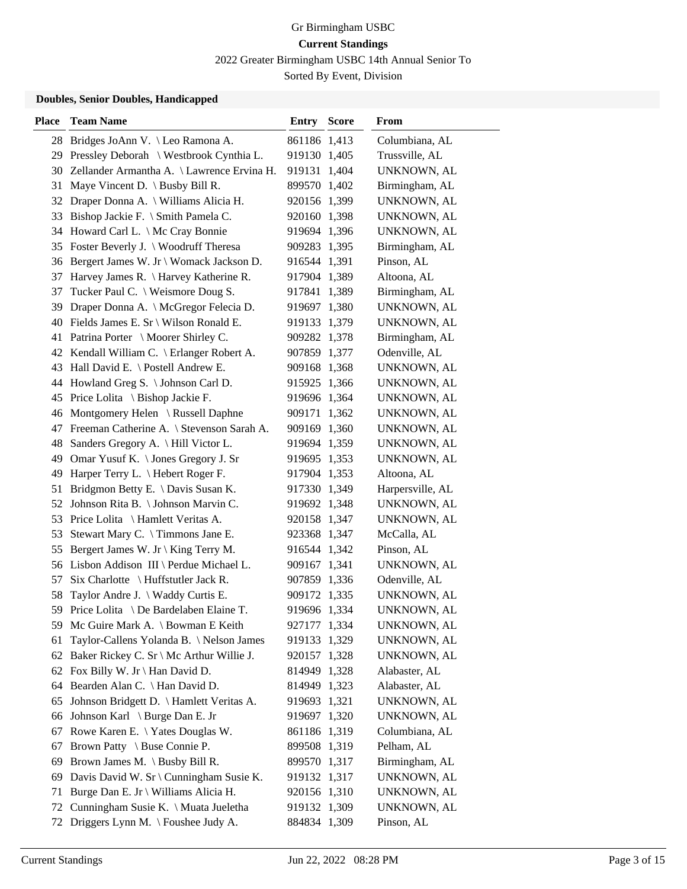2022 Greater Birmingham USBC 14th Annual Senior To

Sorted By Event, Division

#### **Doubles, Senior Doubles, Handicapped**

| <b>Place</b> | <b>Team Name</b>                           | <b>Entry Score</b> | From             |
|--------------|--------------------------------------------|--------------------|------------------|
| 28           | Bridges JoAnn V. \Leo Ramona A.            | 861186 1,413       | Columbiana, AL   |
| 29           | Pressley Deborah \ Westbrook Cynthia L.    | 919130 1,405       | Trussville, AL   |
| 30           | Zellander Armantha A. \ Lawrence Ervina H. | 919131 1,404       | UNKNOWN, AL      |
| 31           | Maye Vincent D. $\setminus$ Busby Bill R.  | 899570 1,402       | Birmingham, AL   |
| 32           | Draper Donna A. \ Williams Alicia H.       | 920156 1,399       | UNKNOWN, AL      |
| 33           | Bishop Jackie F. \ Smith Pamela C.         | 920160 1,398       | UNKNOWN, AL      |
|              | 34 Howard Carl L. \ Mc Cray Bonnie         | 919694 1,396       | UNKNOWN, AL      |
|              | 35 Foster Beverly J. \ Woodruff Theresa    | 909283 1,395       | Birmingham, AL   |
| 36           | Bergert James W. Jr \ Womack Jackson D.    | 916544 1,391       | Pinson, AL       |
| 37           | Harvey James R. \ Harvey Katherine R.      | 917904 1,389       | Altoona, AL      |
| 37           | Tucker Paul C. \ Weismore Doug S.          | 917841 1,389       | Birmingham, AL   |
| 39           | Draper Donna A. \ McGregor Felecia D.      | 919697 1,380       | UNKNOWN, AL      |
|              | 40 Fields James E. Sr \ Wilson Ronald E.   | 919133 1,379       | UNKNOWN, AL      |
|              | 41 Patrina Porter \ Moorer Shirley C.      | 909282 1,378       | Birmingham, AL   |
|              | 42 Kendall William C. \ Erlanger Robert A. | 907859 1,377       | Odenville, AL    |
|              | 43 Hall David E. \ Postell Andrew E.       | 909168 1,368       | UNKNOWN, AL      |
|              | 44 Howland Greg S. \ Johnson Carl D.       | 915925 1,366       | UNKNOWN, AL      |
|              | 45 Price Lolita \ Bishop Jackie F.         | 919696 1,364       | UNKNOWN, AL      |
| 46           | Montgomery Helen \ Russell Daphne          | 909171 1,362       | UNKNOWN, AL      |
| 47           | Freeman Catherine A. \ Stevenson Sarah A.  | 909169 1,360       | UNKNOWN, AL      |
| 48           | Sanders Gregory A. \ Hill Victor L.        | 919694 1,359       | UNKNOWN, AL      |
| 49           | Omar Yusuf K. \ Jones Gregory J. Sr        | 919695 1,353       | UNKNOWN, AL      |
| 49           | Harper Terry L. \ Hebert Roger F.          | 917904 1,353       | Altoona, AL      |
| 51           | Bridgmon Betty E. \ Davis Susan K.         | 917330 1,349       | Harpersville, AL |
| 52           | Johnson Rita B. \ Johnson Marvin C.        | 919692 1,348       | UNKNOWN, AL      |
| 53           | Price Lolita \ Hamlett Veritas A.          | 920158 1,347       | UNKNOWN, AL      |
| 53           | Stewart Mary C. \Timmons Jane E.           | 923368 1,347       | McCalla, AL      |
| 55           | Bergert James W. Jr \ King Terry M.        | 916544 1,342       | Pinson, AL       |
|              | 56 Lisbon Addison III \ Perdue Michael L.  | 909167 1,341       | UNKNOWN, AL      |
| 57           | Six Charlotte $\{H\}$ Huffstutler Jack R.  | 907859 1,336       | Odenville, AL    |
| 58           | Taylor Andre J. \ Waddy Curtis E.          | 909172 1,335       | UNKNOWN, AL      |
|              | 59 Price Lolita \ De Bardelaben Elaine T.  | 919696 1,334       | UNKNOWN, AL      |
|              | 59 Mc Guire Mark A. \ Bowman E Keith       | 927177 1,334       | UNKNOWN, AL      |
| 61           | Taylor-Callens Yolanda B. \Nelson James    | 919133 1,329       | UNKNOWN, AL      |
| 62           | Baker Rickey C. Sr \ Mc Arthur Willie J.   | 920157 1,328       | UNKNOWN, AL      |
|              | 62 Fox Billy W. Jr \ Han David D.          | 814949 1,328       | Alabaster, AL    |
| 64           | Bearden Alan C. \ Han David D.             | 814949 1,323       | Alabaster, AL    |
| 65           | Johnson Bridgett D. \ Hamlett Veritas A.   | 919693 1,321       | UNKNOWN, AL      |
| 66           | Johnson Karl \ Burge Dan E. Jr             | 919697 1,320       | UNKNOWN, AL      |
| 67           | Rowe Karen E. \Yates Douglas W.            | 861186 1,319       | Columbiana, AL   |
| 67           | Brown Patty \ Buse Connie P.               | 899508 1,319       | Pelham, AL       |
| 69           | Brown James M. \ Busby Bill R.             | 899570 1,317       | Birmingham, AL   |
| 69           | Davis David W. Sr \ Cunningham Susie K.    | 919132 1,317       | UNKNOWN, AL      |
| 71           | Burge Dan E. Jr \ Williams Alicia H.       | 920156 1,310       | UNKNOWN, AL      |
| 72           | Cunningham Susie K. \ Muata Jueletha       | 919132 1,309       | UNKNOWN, AL      |
| 72           | Driggers Lynn M. \ Foushee Judy A.         | 884834 1,309       | Pinson, AL       |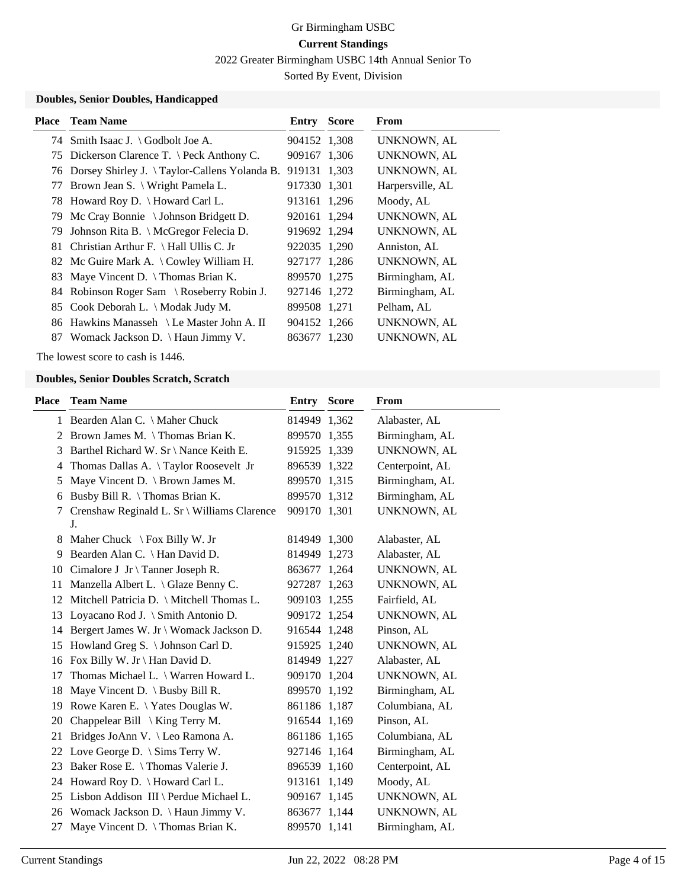2022 Greater Birmingham USBC 14th Annual Senior To

Sorted By Event, Division

#### **Doubles, Senior Doubles, Handicapped**

| Place | <b>Team Name</b>                                | <b>Entry Score</b> | From               |
|-------|-------------------------------------------------|--------------------|--------------------|
|       | 74 Smith Isaac J. \ Godbolt Joe A.              | 904152 1,308       | <b>UNKNOWN, AL</b> |
|       | 75 Dickerson Clarence T. \ Peck Anthony C.      | 909167 1,306       | <b>UNKNOWN, AL</b> |
|       | 76 Dorsey Shirley J. \Taylor-Callens Yolanda B. | 919131 1,303       | <b>UNKNOWN, AL</b> |
|       | 77 Brown Jean S. \ Wright Pamela L.             | 917330 1,301       | Harpersville, AL   |
|       | 78 Howard Roy D. \ Howard Carl L.               | 913161 1,296       | Moody, AL          |
|       | 79 Mc Cray Bonnie \ Johnson Bridgett D.         | 920161 1,294       | UNKNOWN, AL        |
|       | 79 Johnson Rita B. \ McGregor Felecia D.        | 919692 1,294       | <b>UNKNOWN, AL</b> |
|       | 81 Christian Arthur F. \ Hall Ullis C. Jr       | 922035 1,290       | Anniston, AL       |
|       | 82 Mc Guire Mark A. \ Cowley William H.         | 927177 1,286       | <b>UNKNOWN, AL</b> |
|       | 83 Maye Vincent D. \ Thomas Brian K.            | 899570 1,275       | Birmingham, AL     |
|       | 84 Robinson Roger Sam \ Roseberry Robin J.      | 927146 1,272       | Birmingham, AL     |
|       | 85 Cook Deborah L. \ Modak Judy M.              | 899508 1,271       | Pelham, AL         |
|       | 86 Hawkins Manasseh \ Le Master John A. II      | 904152 1,266       | <b>UNKNOWN, AL</b> |
| 87    | Womack Jackson D. $\{$ Haun Jimmy V.            | 863677 1,230       | UNKNOWN, AL        |

The lowest score to cash is 1446.

#### **Doubles, Senior Doubles Scratch, Scratch**

| <b>Place</b> | <b>Team Name</b>                                  | Entry        | <b>Score</b> | <b>From</b>     |
|--------------|---------------------------------------------------|--------------|--------------|-----------------|
|              | 1 Bearden Alan C. \ Maher Chuck                   | 814949 1,362 |              | Alabaster, AL   |
| 2            | Brown James M. \Thomas Brian K.                   | 899570 1,355 |              | Birmingham, AL  |
| 3            | Barthel Richard W. Sr \ Nance Keith E.            | 915925 1,339 |              | UNKNOWN, AL     |
| 4            | Thomas Dallas A. \Taylor Roosevelt Jr             | 896539 1,322 |              | Centerpoint, AL |
| 5            | Maye Vincent D. $\setminus$ Brown James M.        | 899570 1,315 |              | Birmingham, AL  |
| 6            | Busby Bill R. \Thomas Brian K.                    | 899570 1,312 |              | Birmingham, AL  |
| 7            | Crenshaw Reginald L. Sr \ Williams Clarence<br>J. | 909170 1,301 |              | UNKNOWN, AL     |
| 8            | Maher Chuck $\ \ \ \$ Fox Billy W. Jr             | 814949 1,300 |              | Alabaster, AL   |
| 9            | Bearden Alan C. \ Han David D.                    | 814949 1,273 |              | Alabaster, AL   |
|              | 10 Cimalore J Jr \ Tanner Joseph R.               | 863677 1,264 |              | UNKNOWN, AL     |
| 11           | Manzella Albert L. \ Glaze Benny C.               | 927287 1,263 |              | UNKNOWN, AL     |
| 12           | Mitchell Patricia D. \ Mitchell Thomas L.         | 909103 1,255 |              | Fairfield, AL   |
| 13           | Loyacano Rod J. \ Smith Antonio D.                | 909172 1,254 |              | UNKNOWN, AL     |
| 14           | Bergert James W. Jr \ Womack Jackson D.           | 916544 1,248 |              | Pinson, AL      |
| 15           | Howland Greg S. \ Johnson Carl D.                 | 915925 1,240 |              | UNKNOWN, AL     |
| 16           | Fox Billy W. Jr \ Han David D.                    | 814949 1,227 |              | Alabaster, AL   |
| 17           | Thomas Michael L. \ Warren Howard L.              | 909170 1,204 |              | UNKNOWN, AL     |
| 18           | Maye Vincent D. $\langle$ Busby Bill R.           | 899570 1,192 |              | Birmingham, AL  |
| 19           | Rowe Karen E. \ Yates Douglas W.                  | 861186 1,187 |              | Columbiana, AL  |
| 20           | Chappelear Bill $\setminus$ King Terry M.         | 916544 1,169 |              | Pinson, AL      |
| 21           | Bridges JoAnn V. \ Leo Ramona A.                  | 861186 1,165 |              | Columbiana, AL  |
| 22           | Love George D. $\Im$ Sims Terry W.                | 927146 1,164 |              | Birmingham, AL  |
| 23           | Baker Rose E. \Thomas Valerie J.                  | 896539 1,160 |              | Centerpoint, AL |
| 24           | Howard Roy D. \ Howard Carl L.                    | 913161 1,149 |              | Moody, AL       |
| 25           | Lisbon Addison III \ Perdue Michael L.            | 909167 1,145 |              | UNKNOWN, AL     |
| 26           | Womack Jackson D. \ Haun Jimmy V.                 | 863677 1,144 |              | UNKNOWN, AL     |
|              | 27 Maye Vincent D. \Thomas Brian K.               | 899570 1,141 |              | Birmingham, AL  |
|              |                                                   |              |              |                 |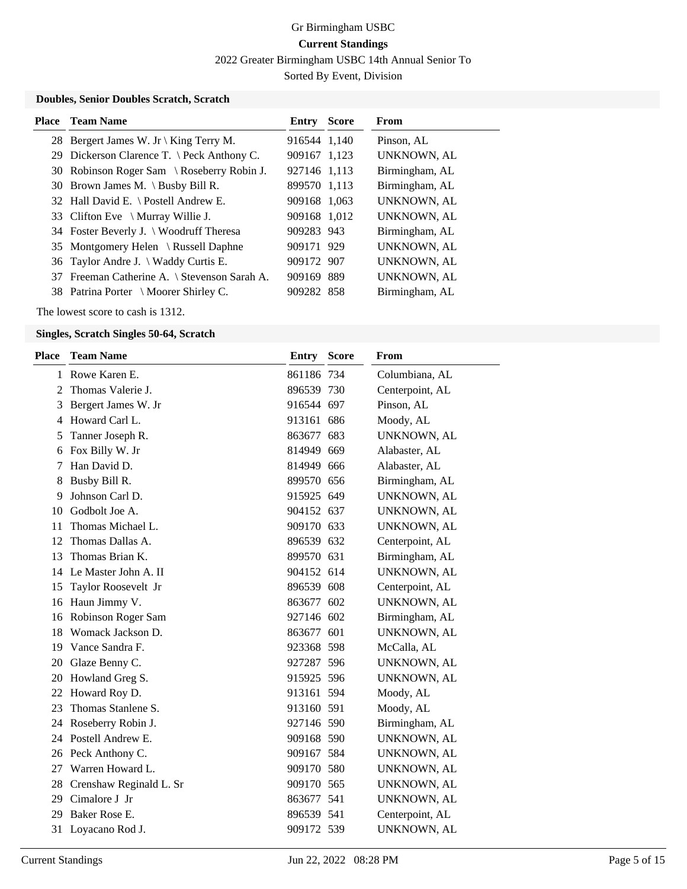2022 Greater Birmingham USBC 14th Annual Senior To

Sorted By Event, Division

#### **Doubles, Senior Doubles Scratch, Scratch**

| <b>Place</b> Team Name                       | <b>Entry Score</b> | From               |
|----------------------------------------------|--------------------|--------------------|
| 28 Bergert James W. Jr \ King Terry M.       | 916544 1,140       | Pinson, AL         |
| 29 Dickerson Clarence T. \ Peck Anthony C.   | 909167 1,123       | <b>UNKNOWN, AL</b> |
| 30 Robinson Roger Sam \ Roseberry Robin J.   | 927146 1.113       | Birmingham, AL     |
| 30 Brown James M. \ Busby Bill R.            | 899570 1,113       | Birmingham, AL     |
| 32 Hall David E. \ Postell Andrew E.         | 909168 1.063       | <b>UNKNOWN, AL</b> |
| 33 Clifton Eve $\setminus$ Murray Willie J.  | 909168 1.012       | UNKNOWN, AL        |
| 34 Foster Beverly J. \ Woodruff Theresa      | 909283 943         | Birmingham, AL     |
| 35 Montgomery Helen \ Russell Daphne         | 909171 929         | <b>UNKNOWN, AL</b> |
| 36 Taylor Andre J. \ Waddy Curtis E.         | 909172 907         | <b>UNKNOWN, AL</b> |
| 37 Freeman Catherine A. \ Stevenson Sarah A. | 909169 889         | <b>UNKNOWN, AL</b> |
| 38 Patrina Porter \ Moorer Shirley C.        | 909282 858         | Birmingham, AL     |

The lowest score to cash is 1312.

#### **Singles, Scratch Singles 50-64, Scratch**

| <b>Place</b> | <b>Team Name</b>        | <b>Entry</b> | <b>Score</b> | From            |
|--------------|-------------------------|--------------|--------------|-----------------|
| 1            | Rowe Karen E.           | 861186 734   |              | Columbiana, AL  |
| 2            | Thomas Valerie J.       | 896539 730   |              | Centerpoint, AL |
| 3            | Bergert James W. Jr     | 916544 697   |              | Pinson, AL      |
| 4            | Howard Carl L.          | 913161 686   |              | Moody, AL       |
| 5            | Tanner Joseph R.        | 863677 683   |              | UNKNOWN, AL     |
| 6            | Fox Billy W. Jr         | 814949 669   |              | Alabaster, AL   |
| 7            | Han David D.            | 814949 666   |              | Alabaster, AL   |
| 8            | Busby Bill R.           | 899570 656   |              | Birmingham, AL  |
| 9            | Johnson Carl D.         | 915925 649   |              | UNKNOWN, AL     |
| 10           | Godbolt Joe A.          | 904152 637   |              | UNKNOWN, AL     |
| 11           | Thomas Michael L.       | 909170 633   |              | UNKNOWN, AL     |
| 12           | Thomas Dallas A.        | 896539 632   |              | Centerpoint, AL |
| 13           | Thomas Brian K.         | 899570 631   |              | Birmingham, AL  |
|              | 14 Le Master John A. II | 904152 614   |              | UNKNOWN, AL     |
| 15           | Taylor Roosevelt Jr     | 896539 608   |              | Centerpoint, AL |
| 16           | Haun Jimmy V.           | 863677 602   |              | UNKNOWN, AL     |
| 16           | Robinson Roger Sam      | 927146 602   |              | Birmingham, AL  |
| 18           | Womack Jackson D.       | 863677 601   |              | UNKNOWN, AL     |
| 19           | Vance Sandra F.         | 923368 598   |              | McCalla, AL     |
| 20           | Glaze Benny C.          | 927287 596   |              | UNKNOWN, AL     |
| 20           | Howland Greg S.         | 915925 596   |              | UNKNOWN, AL     |
| 22           | Howard Roy D.           | 913161 594   |              | Moody, AL       |
| 23           | Thomas Stanlene S.      | 913160 591   |              | Moody, AL       |
| 24           | Roseberry Robin J.      | 927146 590   |              | Birmingham, AL  |
| 24           | Postell Andrew E.       | 909168 590   |              | UNKNOWN, AL     |
| 26           | Peck Anthony C.         | 909167 584   |              | UNKNOWN, AL     |
| 27           | Warren Howard L.        | 909170 580   |              | UNKNOWN, AL     |
| 28           | Crenshaw Reginald L. Sr | 909170 565   |              | UNKNOWN, AL     |
| 29           | Cimalore J Jr           | 863677 541   |              | UNKNOWN, AL     |
| 29           | Baker Rose E.           | 896539 541   |              | Centerpoint, AL |
| 31           | Loyacano Rod J.         | 909172 539   |              | UNKNOWN, AL     |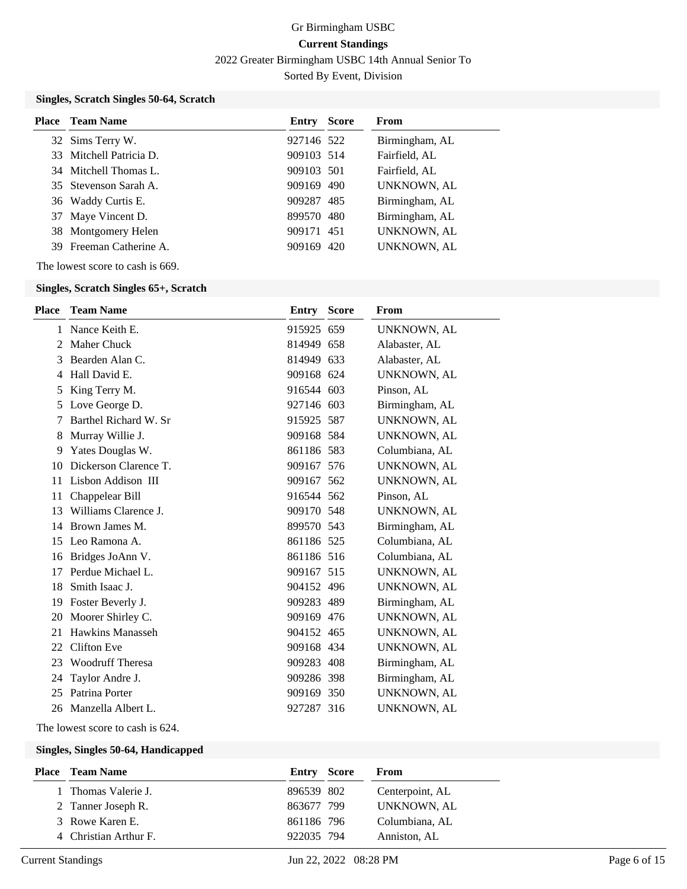2022 Greater Birmingham USBC 14th Annual Senior To

Sorted By Event, Division

### **Singles, Scratch Singles 50-64, Scratch**

| <b>Place</b> Team Name  | Entry      | <b>Score</b> | From               |
|-------------------------|------------|--------------|--------------------|
| 32 Sims Terry W.        | 927146 522 |              | Birmingham, AL     |
| 33 Mitchell Patricia D. | 909103 514 |              | Fairfield, AL      |
| 34 Mitchell Thomas L.   | 909103 501 |              | Fairfield, AL      |
| 35 Stevenson Sarah A.   | 909169 490 |              | <b>UNKNOWN, AL</b> |
| 36 Waddy Curtis E.      | 909287 485 |              | Birmingham, AL     |
| 37 Maye Vincent D.      | 899570 480 |              | Birmingham, AL     |
| 38 Montgomery Helen     | 909171 451 |              | <b>UNKNOWN, AL</b> |
| 39 Freeman Catherine A. | 909169 420 |              | UNKNOWN, AL        |

The lowest score to cash is 669.

#### **Singles, Scratch Singles 65+, Scratch**

The lowest score to cash is 624.

#### **Singles, Singles 50-64, Handicapped**

| <b>Place</b> Team Name | <b>Entry Score</b> | From            |
|------------------------|--------------------|-----------------|
| 1 Thomas Valerie J.    | 896539 802         | Centerpoint, AL |
| 2 Tanner Joseph R.     | 863677 799         | UNKNOWN, AL     |
| 3 Rowe Karen E.        | 861186 796         | Columbiana, AL  |
| 4 Christian Arthur F.  | 922035 794         | Anniston, AL    |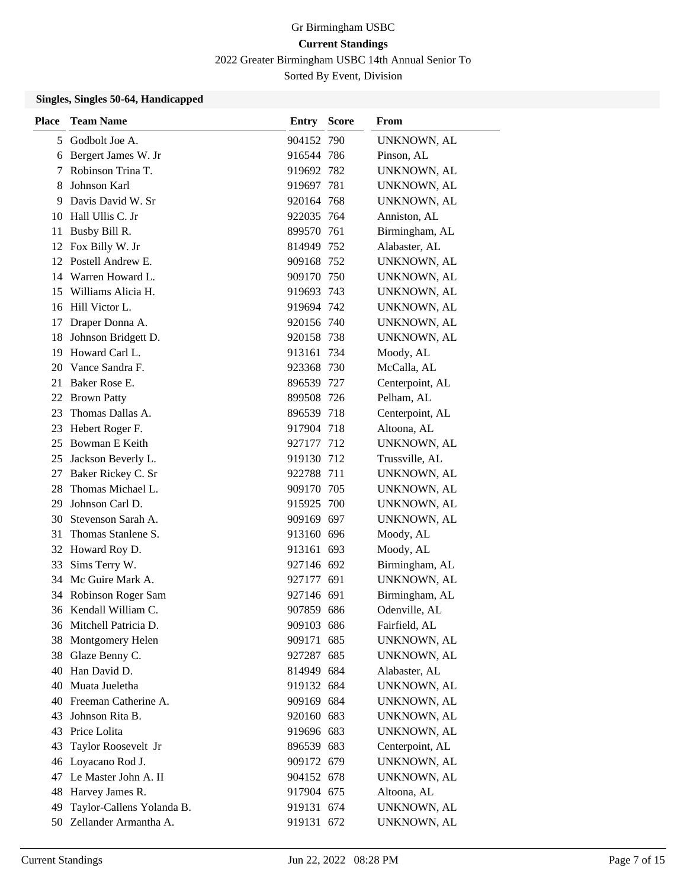2022 Greater Birmingham USBC 14th Annual Senior To

Sorted By Event, Division

### **Singles, Singles 50-64, Handicapped**

| <b>Place</b> | <b>Team Name</b>          | <b>Entry Score</b> |     | <b>From</b>        |
|--------------|---------------------------|--------------------|-----|--------------------|
| 5            | Godbolt Joe A.            | 904152 790         |     | UNKNOWN, AL        |
| 6            | Bergert James W. Jr       | 916544 786         |     | Pinson, AL         |
| 7            | Robinson Trina T.         | 919692 782         |     | <b>UNKNOWN, AL</b> |
| 8            | Johnson Karl              | 919697             | 781 | UNKNOWN, AL        |
| 9            | Davis David W. Sr         | 920164 768         |     | UNKNOWN, AL        |
| 10           | Hall Ullis C. Jr          | 922035 764         |     | Anniston, AL       |
| 11           | Busby Bill R.             | 899570 761         |     | Birmingham, AL     |
| 12           | Fox Billy W. Jr           | 814949 752         |     | Alabaster, AL      |
| 12           | Postell Andrew E.         | 909168 752         |     | UNKNOWN, AL        |
| 14           | Warren Howard L.          | 909170 750         |     | UNKNOWN, AL        |
| 15           | Williams Alicia H.        | 919693 743         |     | UNKNOWN, AL        |
|              | 16 Hill Victor L.         | 919694 742         |     | UNKNOWN, AL        |
| 17           | Draper Donna A.           | 920156 740         |     | UNKNOWN, AL        |
| 18           | Johnson Bridgett D.       | 920158 738         |     | UNKNOWN, AL        |
| 19           | Howard Carl L.            | 913161 734         |     | Moody, AL          |
| 20           | Vance Sandra F.           | 923368 730         |     | McCalla, AL        |
| 21           | Baker Rose E.             | 896539 727         |     | Centerpoint, AL    |
| 22           | <b>Brown Patty</b>        | 899508 726         |     | Pelham, AL         |
| 23           | Thomas Dallas A.          | 896539 718         |     | Centerpoint, AL    |
| 23           | Hebert Roger F.           | 917904 718         |     | Altoona, AL        |
| 25           | Bowman E Keith            | 927177 712         |     | UNKNOWN, AL        |
| 25           | Jackson Beverly L.        | 919130 712         |     | Trussville, AL     |
| 27           | Baker Rickey C. Sr        | 922788 711         |     | UNKNOWN, AL        |
| 28           | Thomas Michael L.         | 909170 705         |     | UNKNOWN, AL        |
| 29           | Johnson Carl D.           | 915925 700         |     | UNKNOWN, AL        |
| 30           | Stevenson Sarah A.        | 909169 697         |     | UNKNOWN, AL        |
| 31           | Thomas Stanlene S.        | 913160 696         |     | Moody, AL          |
|              | 32 Howard Roy D.          | 913161 693         |     | Moody, AL          |
| 33           | Sims Terry W.             | 927146 692         |     | Birmingham, AL     |
|              | 34 Mc Guire Mark A.       | 927177 691         |     | UNKNOWN, AL        |
| 34           | Robinson Roger Sam        | 927146 691         |     | Birmingham, AL     |
|              | 36 Kendall William C.     | 907859 686         |     | Odenville, AL      |
| 36           | Mitchell Patricia D.      | 909103 686         |     | Fairfield, AL      |
| 38           | Montgomery Helen          | 909171 685         |     | UNKNOWN, AL        |
| 38           | Glaze Benny C.            | 927287 685         |     | UNKNOWN, AL        |
| 40           | Han David D.              | 814949 684         |     | Alabaster, AL      |
| 40           | Muata Jueletha            | 919132 684         |     | UNKNOWN, AL        |
| 40           | Freeman Catherine A.      | 909169 684         |     | UNKNOWN, AL        |
| 43           | Johnson Rita B.           | 920160 683         |     | UNKNOWN, AL        |
| 43           | Price Lolita              | 919696 683         |     | UNKNOWN, AL        |
| 43           | Taylor Roosevelt Jr       | 896539 683         |     | Centerpoint, AL    |
| 46           | Loyacano Rod J.           | 909172 679         |     | UNKNOWN, AL        |
| 47           | Le Master John A. II      | 904152 678         |     | UNKNOWN, AL        |
| 48           | Harvey James R.           | 917904 675         |     | Altoona, AL        |
| 49           | Taylor-Callens Yolanda B. | 919131 674         |     | UNKNOWN, AL        |
| 50           | Zellander Armantha A.     | 919131 672         |     | UNKNOWN, AL        |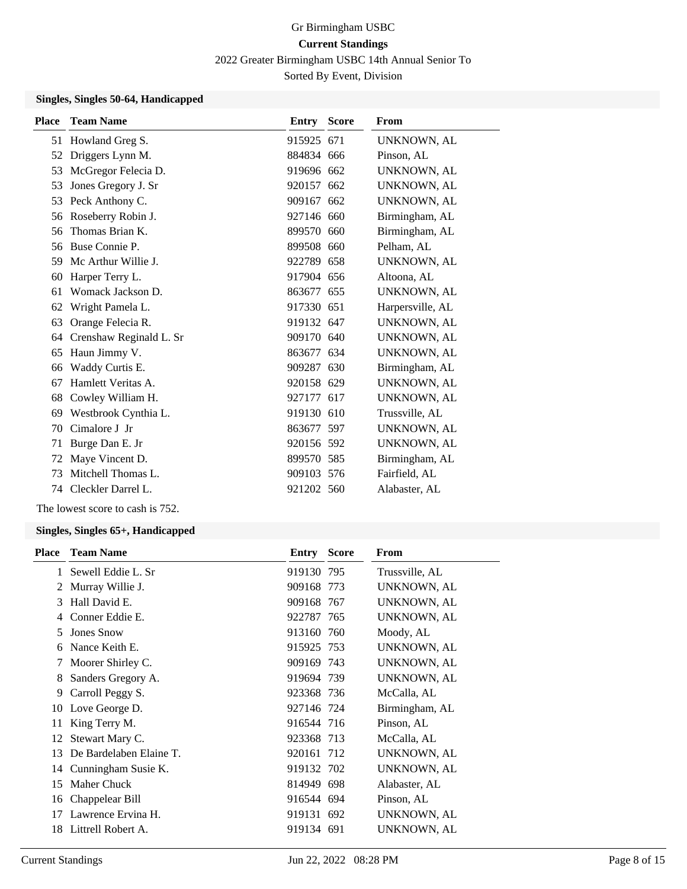2022 Greater Birmingham USBC 14th Annual Senior To

Sorted By Event, Division

### **Singles, Singles 50-64, Handicapped**

| <b>Place</b> | <b>Team Name</b>        | Entry      | <b>Score</b> | From               |
|--------------|-------------------------|------------|--------------|--------------------|
|              | 51 Howland Greg S.      | 915925 671 |              | UNKNOWN, AL        |
| 52           | Driggers Lynn M.        | 884834 666 |              | Pinson, AL         |
| 53           | McGregor Felecia D.     | 919696 662 |              | <b>UNKNOWN, AL</b> |
| 53           | Jones Gregory J. Sr     | 920157 662 |              | UNKNOWN, AL        |
| 53           | Peck Anthony C.         | 909167 662 |              | UNKNOWN, AL        |
| 56           | Roseberry Robin J.      | 927146 660 |              | Birmingham, AL     |
| 56           | Thomas Brian K.         | 899570 660 |              | Birmingham, AL     |
| 56           | Buse Connie P.          | 899508 660 |              | Pelham, AL         |
| 59           | Mc Arthur Willie J.     | 922789 658 |              | UNKNOWN, AL        |
| 60           | Harper Terry L.         | 917904 656 |              | Altoona, AL        |
| 61           | Womack Jackson D.       | 863677 655 |              | UNKNOWN, AL        |
| 62           | Wright Pamela L.        | 917330 651 |              | Harpersville, AL   |
| 63           | Orange Felecia R.       | 919132 647 |              | UNKNOWN, AL        |
| 64           | Crenshaw Reginald L. Sr | 909170 640 |              | <b>UNKNOWN, AL</b> |
| 65           | Haun Jimmy V.           | 863677 634 |              | UNKNOWN, AL        |
| 66           | Waddy Curtis E.         | 909287 630 |              | Birmingham, AL     |
| 67           | Hamlett Veritas A.      | 920158 629 |              | UNKNOWN, AL        |
| 68           | Cowley William H.       | 927177 617 |              | UNKNOWN, AL        |
| 69           | Westbrook Cynthia L.    | 919130 610 |              | Trussville, AL     |
| 70           | Cimalore J Jr           | 863677 597 |              | UNKNOWN, AL        |
| 71           | Burge Dan E. Jr         | 920156 592 |              | UNKNOWN, AL        |
| 72           | Maye Vincent D.         | 899570 585 |              | Birmingham, AL     |
| 73           | Mitchell Thomas L.      | 909103 576 |              | Fairfield, AL      |
| 74           | Cleckler Darrel L.      | 921202 560 |              | Alabaster, AL      |
|              |                         |            |              |                    |

The lowest score to cash is 752.

#### **Singles, Singles 65+, Handicapped**

| <b>Place</b> | <b>Team Name</b>        | <b>Entry Score</b> | <b>From</b>        |
|--------------|-------------------------|--------------------|--------------------|
| 1            | Sewell Eddie L. Sr      | 919130 795         | Trussville, AL     |
| 2            | Murray Willie J.        | 909168 773         | UNKNOWN, AL        |
| 3            | Hall David E.           | 909168 767         | UNKNOWN, AL        |
| 4            | Conner Eddie E.         | 922787 765         | UNKNOWN, AL        |
| 5            | Jones Snow              | 913160 760         | Moody, AL          |
| 6            | Nance Keith E.          | 915925 753         | UNKNOWN, AL        |
| 7            | Moorer Shirley C.       | 909169 743         | UNKNOWN, AL        |
| 8            | Sanders Gregory A.      | 919694 739         | UNKNOWN, AL        |
| 9            | Carroll Peggy S.        | 923368 736         | McCalla, AL        |
| 10           | Love George D.          | 927146 724         | Birmingham, AL     |
| 11           | King Terry M.           | 916544 716         | Pinson, AL         |
| 12           | Stewart Mary C.         | 923368 713         | McCalla, AL        |
| 13           | De Bardelaben Elaine T. | 920161 712         | UNKNOWN, AL        |
| 14           | Cunningham Susie K.     | 919132 702         | <b>UNKNOWN, AL</b> |
| 15           | Maher Chuck             | 814949 698         | Alabaster, AL      |
| 16           | Chappelear Bill         | 916544 694         | Pinson, AL         |
| 17           | Lawrence Ervina H.      | 919131 692         | UNKNOWN, AL        |
| 18           | Littrell Robert A.      | 919134 691         | UNKNOWN, AL        |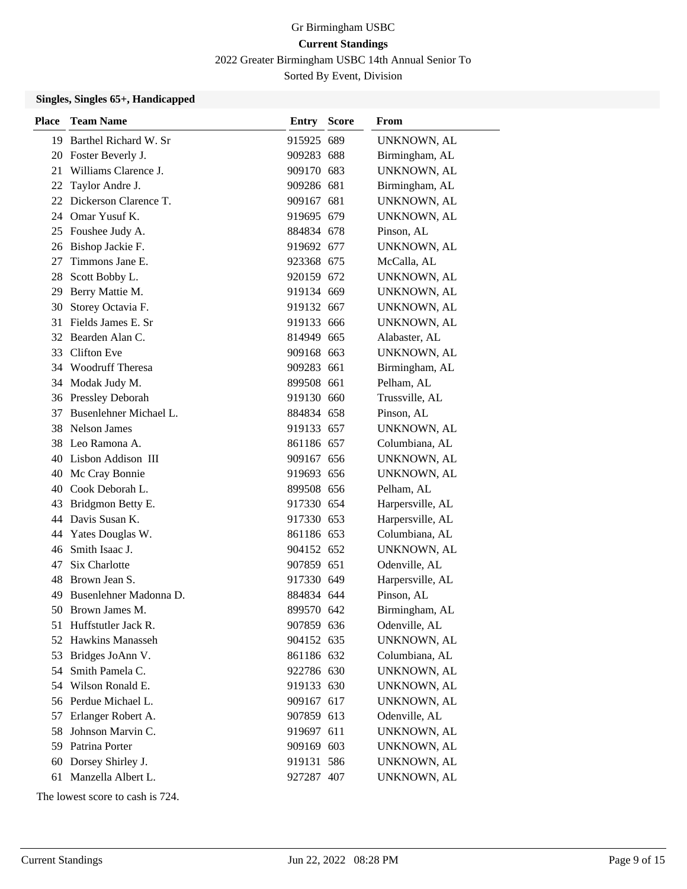2022 Greater Birmingham USBC 14th Annual Senior To

Sorted By Event, Division

### **Singles, Singles 65+, Handicapped**

| <b>Place</b> | <b>Team Name</b>         | <b>Entry Score</b> | From               |
|--------------|--------------------------|--------------------|--------------------|
|              | 19 Barthel Richard W. Sr | 915925 689         | UNKNOWN, AL        |
| 20           | Foster Beverly J.        | 909283 688         | Birmingham, AL     |
| 21           | Williams Clarence J.     | 909170 683         | UNKNOWN, AL        |
| 22           | Taylor Andre J.          | 909286 681         | Birmingham, AL     |
| 22           | Dickerson Clarence T.    | 909167 681         | UNKNOWN, AL        |
| 24           | Omar Yusuf K.            | 919695 679         | UNKNOWN, AL        |
|              | 25 Foushee Judy A.       | 884834 678         | Pinson, AL         |
|              | 26 Bishop Jackie F.      | 919692 677         | UNKNOWN, AL        |
| 27           | Timmons Jane E.          | 923368 675         | McCalla, AL        |
| 28           | Scott Bobby L.           | 920159 672         | UNKNOWN, AL        |
| 29           | Berry Mattie M.          | 919134 669         | <b>UNKNOWN, AL</b> |
| 30           | Storey Octavia F.        | 919132 667         | UNKNOWN, AL        |
|              | 31 Fields James E. Sr    | 919133 666         | UNKNOWN, AL        |
| 32           | Bearden Alan C.          | 814949 665         | Alabaster, AL      |
|              | 33 Clifton Eve           | 909168 663         | UNKNOWN, AL        |
|              | 34 Woodruff Theresa      | 909283 661         | Birmingham, AL     |
|              | 34 Modak Judy M.         | 899508 661         | Pelham, AL         |
|              | 36 Pressley Deborah      | 919130 660         | Trussville, AL     |
| 37           | Busenlehner Michael L.   | 884834 658         | Pinson, AL         |
|              | 38 Nelson James          | 919133 657         | UNKNOWN, AL        |
| 38           | Leo Ramona A.            | 861186 657         | Columbiana, AL     |
| 40           | Lisbon Addison III       | 909167 656         | UNKNOWN, AL        |
| 40           | Mc Cray Bonnie           | 919693 656         | UNKNOWN, AL        |
| 40           | Cook Deborah L.          | 899508 656         | Pelham, AL         |
| 43           | Bridgmon Betty E.        | 917330 654         | Harpersville, AL   |
| 44           | Davis Susan K.           | 917330 653         | Harpersville, AL   |
| 44           | Yates Douglas W.         | 861186 653         | Columbiana, AL     |
| 46           | Smith Isaac J.           | 904152 652         | UNKNOWN, AL        |
| 47           | Six Charlotte            | 907859 651         | Odenville, AL      |
| 48           | Brown Jean S.            | 917330 649         | Harpersville, AL   |
| 49           | Busenlehner Madonna D.   | 884834 644         | Pinson, AL         |
|              | 50 Brown James M.        | 899570 642         | Birmingham, AL     |
| 51           | Huffstutler Jack R.      | 907859 636         | Odenville, AL      |
| 52           | <b>Hawkins Manasseh</b>  | 904152 635         | UNKNOWN, AL        |
| 53           | Bridges JoAnn V.         | 861186 632         | Columbiana, AL     |
| 54           | Smith Pamela C.          | 922786 630         | UNKNOWN, AL        |
|              | 54 Wilson Ronald E.      | 919133 630         | UNKNOWN, AL        |
|              | 56 Perdue Michael L.     | 909167 617         | UNKNOWN, AL        |
| 57           | Erlanger Robert A.       | 907859 613         | Odenville, AL      |
| 58           | Johnson Marvin C.        | 919697 611         | UNKNOWN, AL        |
| 59           | Patrina Porter           | 909169 603         | UNKNOWN, AL        |
| 60           | Dorsey Shirley J.        | 919131 586         | UNKNOWN, AL        |
| 61           | Manzella Albert L.       | 927287 407         | UNKNOWN, AL        |

The lowest score to cash is 724.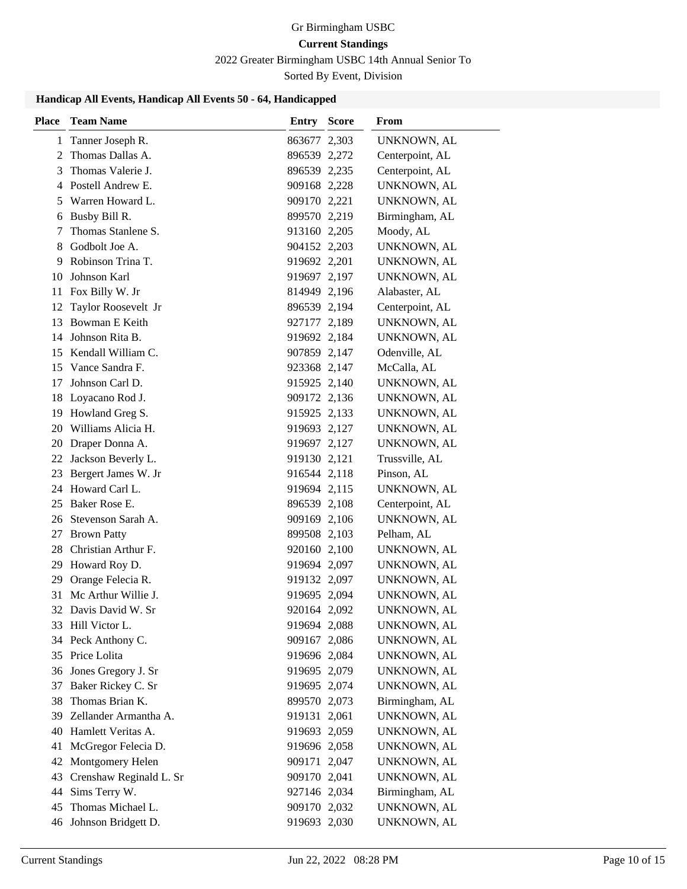2022 Greater Birmingham USBC 14th Annual Senior To

Sorted By Event, Division

### **Handicap All Events, Handicap All Events 50 - 64, Handicapped**

| <b>Place</b> | <b>Team Name</b>        | <b>Entry</b> | <b>Score</b> | <b>From</b>        |
|--------------|-------------------------|--------------|--------------|--------------------|
| 1            | Tanner Joseph R.        | 863677 2,303 |              | UNKNOWN, AL        |
| 2            | Thomas Dallas A.        | 896539 2,272 |              | Centerpoint, AL    |
| 3            | Thomas Valerie J.       | 896539 2,235 |              | Centerpoint, AL    |
|              | 4 Postell Andrew E.     | 909168 2,228 |              | UNKNOWN, AL        |
| 5            | Warren Howard L.        | 909170 2,221 |              | UNKNOWN, AL        |
|              | 6 Busby Bill R.         | 899570 2,219 |              | Birmingham, AL     |
| 7            | Thomas Stanlene S.      | 913160 2,205 |              | Moody, AL          |
| 8            | Godbolt Joe A.          | 904152 2,203 |              | UNKNOWN, AL        |
| 9            | Robinson Trina T.       | 919692 2,201 |              | UNKNOWN, AL        |
| 10           | Johnson Karl            | 919697 2,197 |              | UNKNOWN, AL        |
| 11           | Fox Billy W. Jr         | 814949 2,196 |              | Alabaster, AL      |
| 12           | Taylor Roosevelt Jr     | 896539 2,194 |              | Centerpoint, AL    |
| 13           | Bowman E Keith          | 927177 2,189 |              | UNKNOWN, AL        |
| 14           | Johnson Rita B.         | 919692 2,184 |              | UNKNOWN, AL        |
| 15           | Kendall William C.      | 907859 2,147 |              | Odenville, AL      |
| 15           | Vance Sandra F.         | 923368 2,147 |              | McCalla, AL        |
| 17           | Johnson Carl D.         | 915925 2,140 |              | UNKNOWN, AL        |
| 18           | Loyacano Rod J.         | 909172 2,136 |              | UNKNOWN, AL        |
| 19           | Howland Greg S.         | 915925 2,133 |              | UNKNOWN, AL        |
| 20           | Williams Alicia H.      | 919693 2,127 |              | UNKNOWN, AL        |
| 20           | Draper Donna A.         | 919697 2,127 |              | UNKNOWN, AL        |
| 22           | Jackson Beverly L.      | 919130 2,121 |              | Trussville, AL     |
| 23           | Bergert James W. Jr     | 916544 2,118 |              | Pinson, AL         |
|              | 24 Howard Carl L.       | 919694 2,115 |              | UNKNOWN, AL        |
| 25           | Baker Rose E.           | 896539 2,108 |              | Centerpoint, AL    |
| 26           | Stevenson Sarah A.      | 909169 2,106 |              | UNKNOWN, AL        |
| 27           | <b>Brown Patty</b>      | 899508 2,103 |              | Pelham, AL         |
| 28           | Christian Arthur F.     | 920160 2,100 |              | UNKNOWN, AL        |
| 29           | Howard Roy D.           | 919694 2,097 |              | UNKNOWN, AL        |
| 29           | Orange Felecia R.       | 919132 2,097 |              | UNKNOWN, AL        |
| 31           | Mc Arthur Willie J.     | 919695 2,094 |              | UNKNOWN, AL        |
| 32           | Davis David W. Sr       | 920164 2,092 |              | UNKNOWN, AL        |
| 33           | Hill Victor L.          | 919694 2,088 |              | UNKNOWN, AL        |
|              | 34 Peck Anthony C.      | 909167 2,086 |              | UNKNOWN, AL        |
| 35           | Price Lolita            | 919696 2,084 |              | <b>UNKNOWN, AL</b> |
| 36           | Jones Gregory J. Sr     | 919695 2,079 |              | UNKNOWN, AL        |
| 37           | Baker Rickey C. Sr      | 919695 2,074 |              | UNKNOWN, AL        |
| 38           | Thomas Brian K.         | 899570 2,073 |              | Birmingham, AL     |
| 39           | Zellander Armantha A.   | 919131 2,061 |              | UNKNOWN, AL        |
| 40           | Hamlett Veritas A.      | 919693 2,059 |              | UNKNOWN, AL        |
| 41           | McGregor Felecia D.     | 919696 2,058 |              | UNKNOWN, AL        |
| 42           | Montgomery Helen        | 909171 2,047 |              | UNKNOWN, AL        |
| 43           | Crenshaw Reginald L. Sr | 909170 2,041 |              | UNKNOWN, AL        |
| 44           | Sims Terry W.           | 927146 2,034 |              | Birmingham, AL     |
| 45           | Thomas Michael L.       | 909170 2,032 |              | UNKNOWN, AL        |
| 46           | Johnson Bridgett D.     | 919693 2,030 |              | UNKNOWN, AL        |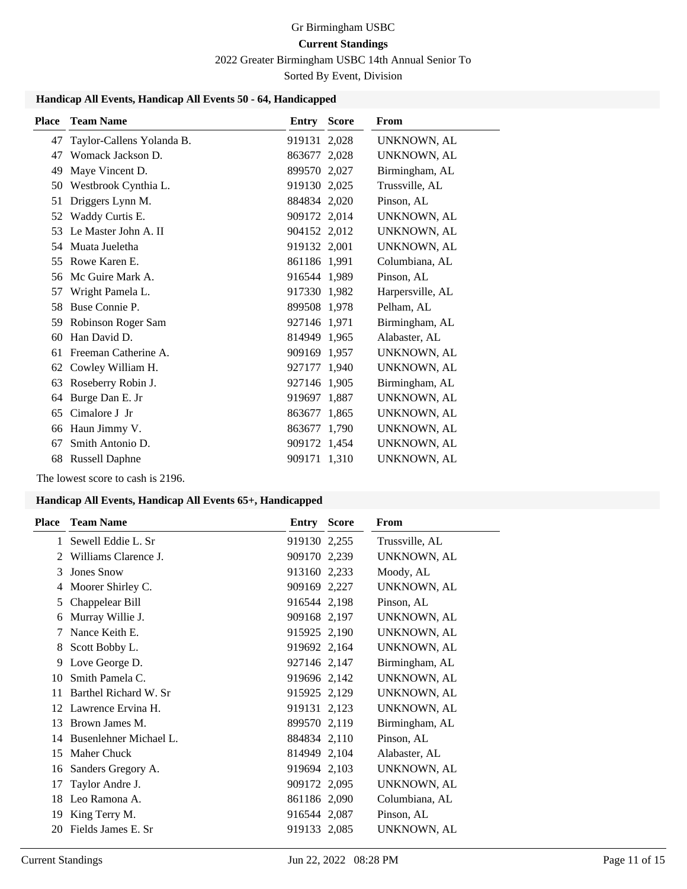2022 Greater Birmingham USBC 14th Annual Senior To

Sorted By Event, Division

### **Handicap All Events, Handicap All Events 50 - 64, Handicapped**

| <b>Place</b> | <b>Team Name</b>          | Entry        | <b>Score</b> | <b>From</b>      |
|--------------|---------------------------|--------------|--------------|------------------|
| 47           | Taylor-Callens Yolanda B. | 919131 2,028 |              | UNKNOWN, AL      |
| 47           | Womack Jackson D.         | 863677 2,028 |              | UNKNOWN, AL      |
| 49           | Maye Vincent D.           | 899570 2.027 |              | Birmingham, AL   |
| 50           | Westbrook Cynthia L.      | 919130 2,025 |              | Trussville, AL   |
| 51           | Driggers Lynn M.          | 884834 2,020 |              | Pinson, AL       |
| 52           | Waddy Curtis E.           | 909172 2,014 |              | UNKNOWN, AL      |
| 53           | Le Master John A. II      | 904152 2,012 |              | UNKNOWN, AL      |
|              | 54 Muata Jueletha         | 919132 2,001 |              | UNKNOWN, AL      |
| 55           | Rowe Karen E.             | 861186 1,991 |              | Columbiana, AL   |
| 56           | Mc Guire Mark A.          | 916544 1,989 |              | Pinson, AL       |
| 57           | Wright Pamela L.          | 917330 1,982 |              | Harpersville, AL |
| 58           | Buse Connie P.            | 899508 1,978 |              | Pelham, AL       |
| 59           | Robinson Roger Sam        | 927146 1.971 |              | Birmingham, AL   |
| 60           | Han David D.              | 814949 1,965 |              | Alabaster, AL    |
| 61           | Freeman Catherine A.      | 909169 1,957 |              | UNKNOWN, AL      |
| 62           | Cowley William H.         | 927177 1,940 |              | UNKNOWN, AL      |
| 63           | Roseberry Robin J.        | 927146 1,905 |              | Birmingham, AL   |
| 64           | Burge Dan E. Jr           | 919697 1,887 |              | UNKNOWN, AL      |
| 65           | Cimalore J Jr             | 863677 1,865 |              | UNKNOWN, AL      |
| 66           | Haun Jimmy V.             | 863677 1,790 |              | UNKNOWN, AL      |
| 67           | Smith Antonio D.          | 909172 1,454 |              | UNKNOWN, AL      |
| 68           | <b>Russell Daphne</b>     | 909171 1,310 |              | UNKNOWN, AL      |

The lowest score to cash is 2196.

#### **Handicap All Events, Handicap All Events 65+, Handicapped**

| Place | <b>Team Name</b>       | Entry        | <b>Score</b> | From               |
|-------|------------------------|--------------|--------------|--------------------|
| 1     | Sewell Eddie L. Sr     | 919130 2,255 |              | Trussville, AL     |
| 2     | Williams Clarence J.   | 909170 2,239 |              | UNKNOWN, AL        |
| 3     | <b>Jones Snow</b>      | 913160 2,233 |              | Moody, AL          |
| 4     | Moorer Shirley C.      | 909169 2,227 |              | UNKNOWN, AL        |
| 5     | Chappelear Bill        | 916544 2,198 |              | Pinson, AL         |
| 6     | Murray Willie J.       | 909168 2,197 |              | <b>UNKNOWN, AL</b> |
| 7     | Nance Keith E.         | 915925 2,190 |              | UNKNOWN, AL        |
| 8     | Scott Bobby L.         | 919692 2,164 |              | UNKNOWN, AL        |
| 9     | Love George D.         | 927146 2,147 |              | Birmingham, AL     |
| 10    | Smith Pamela C.        | 919696 2,142 |              | <b>UNKNOWN, AL</b> |
| 11    | Barthel Richard W. Sr  | 915925 2,129 |              | UNKNOWN, AL        |
| 12    | Lawrence Ervina H.     | 919131 2,123 |              | UNKNOWN, AL        |
| 13    | Brown James M.         | 899570 2,119 |              | Birmingham, AL     |
| 14    | Busenlehner Michael L. | 884834 2,110 |              | Pinson, AL         |
| 15    | <b>Maher Chuck</b>     | 814949 2,104 |              | Alabaster, AL      |
| 16    | Sanders Gregory A.     | 919694 2,103 |              | UNKNOWN, AL        |
| 17    | Taylor Andre J.        | 909172 2,095 |              | <b>UNKNOWN, AL</b> |
| 18    | Leo Ramona A.          | 861186 2,090 |              | Columbiana, AL     |
| 19    | King Terry M.          | 916544 2,087 |              | Pinson, AL         |
| 20    | Fields James E. Sr     | 919133 2,085 |              | UNKNOWN, AL        |
|       |                        |              |              |                    |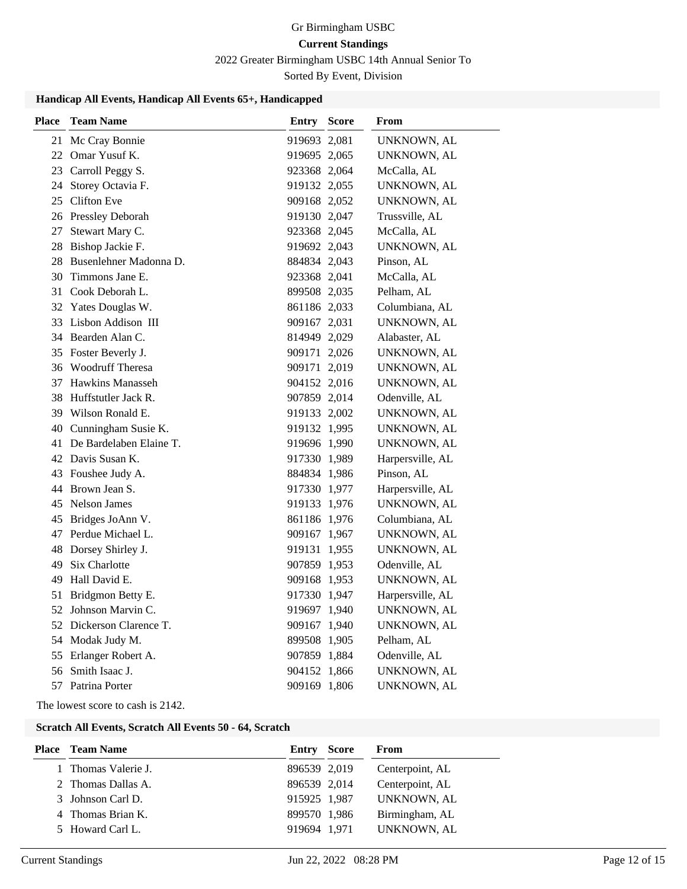2022 Greater Birmingham USBC 14th Annual Senior To

Sorted By Event, Division

### **Handicap All Events, Handicap All Events 65+, Handicapped**

| <b>Place</b> | <b>Team Name</b>           | Entry Score  | From             |
|--------------|----------------------------|--------------|------------------|
|              | 21 Mc Cray Bonnie          | 919693 2,081 | UNKNOWN, AL      |
|              | 22 Omar Yusuf K.           | 919695 2,065 | UNKNOWN, AL      |
|              | 23 Carroll Peggy S.        | 923368 2,064 | McCalla, AL      |
| 24           | Storey Octavia F.          | 919132 2,055 | UNKNOWN, AL      |
|              | 25 Clifton Eve             | 909168 2,052 | UNKNOWN, AL      |
|              | 26 Pressley Deborah        | 919130 2,047 | Trussville, AL   |
| 27           | Stewart Mary C.            | 923368 2,045 | McCalla, AL      |
|              | 28 Bishop Jackie F.        | 919692 2,043 | UNKNOWN, AL      |
|              | 28 Busenlehner Madonna D.  | 884834 2,043 | Pinson, AL       |
| 30           | Timmons Jane E.            | 923368 2,041 | McCalla, AL      |
|              | 31 Cook Deborah L.         | 899508 2,035 | Pelham, AL       |
|              | 32 Yates Douglas W.        | 861186 2,033 | Columbiana, AL   |
|              | 33 Lisbon Addison III      | 909167 2,031 | UNKNOWN, AL      |
|              | 34 Bearden Alan C.         | 814949 2,029 | Alabaster, AL    |
|              | 35 Foster Beverly J.       | 909171 2,026 | UNKNOWN, AL      |
|              | 36 Woodruff Theresa        | 909171 2,019 | UNKNOWN, AL      |
|              | 37 Hawkins Manasseh        | 904152 2,016 | UNKNOWN, AL      |
|              | 38 Huffstutler Jack R.     | 907859 2,014 | Odenville, AL    |
|              | 39 Wilson Ronald E.        | 919133 2,002 | UNKNOWN, AL      |
|              | 40 Cunningham Susie K.     | 919132 1,995 | UNKNOWN, AL      |
|              | 41 De Bardelaben Elaine T. | 919696 1,990 | UNKNOWN, AL      |
|              | 42 Davis Susan K.          | 917330 1,989 | Harpersville, AL |
|              | 43 Foushee Judy A.         | 884834 1,986 | Pinson, AL       |
| 44           | Brown Jean S.              | 917330 1,977 | Harpersville, AL |
|              | 45 Nelson James            | 919133 1,976 | UNKNOWN, AL      |
| 45           | Bridges JoAnn V.           | 861186 1,976 | Columbiana, AL   |
|              | 47 Perdue Michael L.       | 909167 1,967 | UNKNOWN, AL      |
|              | 48 Dorsey Shirley J.       | 919131 1,955 | UNKNOWN, AL      |
| 49           | Six Charlotte              | 907859 1,953 | Odenville, AL    |
| 49           | Hall David E.              | 909168 1,953 | UNKNOWN, AL      |
|              | 51 Bridgmon Betty E.       | 917330 1,947 | Harpersville, AL |
|              | 52 Johnson Marvin C.       | 919697 1,940 | UNKNOWN, AL      |
|              | 52 Dickerson Clarence T.   | 909167 1,940 | UNKNOWN, AL      |
|              | 54 Modak Judy M.           | 899508 1,905 | Pelham, AL       |
|              | 55 Erlanger Robert A.      | 907859 1,884 | Odenville, AL    |
|              | 56 Smith Isaac J.          | 904152 1,866 | UNKNOWN, AL      |
|              | 57 Patrina Porter          | 909169 1,806 | UNKNOWN, AL      |

The lowest score to cash is 2142.

#### **Scratch All Events, Scratch All Events 50 - 64, Scratch**

| <b>Place</b> Team Name | Entry Score  | From            |
|------------------------|--------------|-----------------|
| 1 Thomas Valerie J.    | 896539 2,019 | Centerpoint, AL |
| 2 Thomas Dallas A.     | 896539 2,014 | Centerpoint, AL |
| 3 Johnson Carl D.      | 915925 1,987 | UNKNOWN, AL     |
| 4 Thomas Brian K.      | 899570 1,986 | Birmingham, AL  |
| 5 Howard Carl L.       | 919694 1.971 | UNKNOWN, AL     |
|                        |              |                 |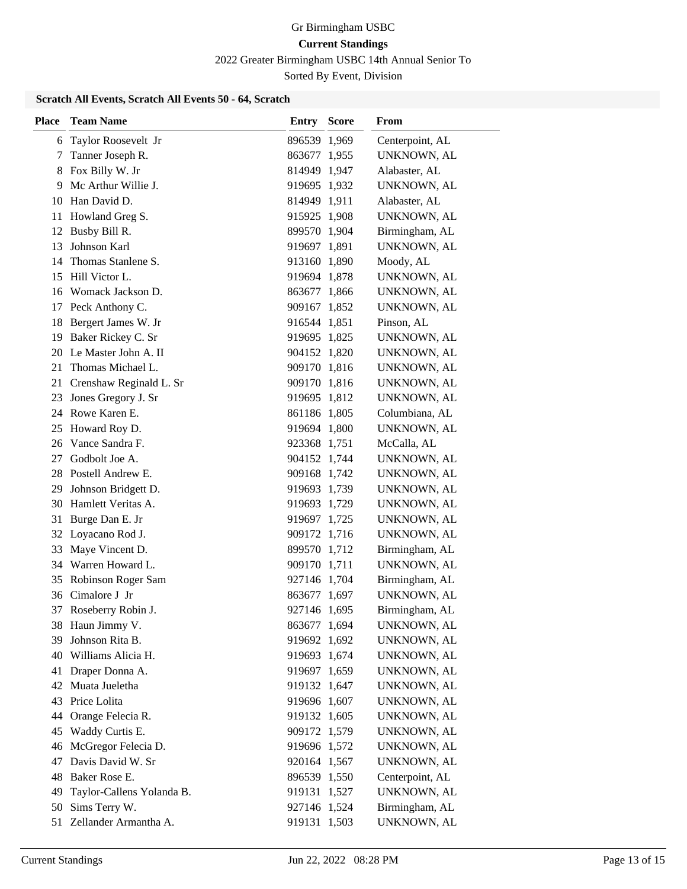2022 Greater Birmingham USBC 14th Annual Senior To

Sorted By Event, Division

### **Scratch All Events, Scratch All Events 50 - 64, Scratch**

| Taylor Roosevelt Jr<br>896539 1,969<br>Centerpoint, AL<br>6<br>Tanner Joseph R.<br>UNKNOWN, AL<br>863677 1,955<br>7<br>Fox Billy W. Jr<br>Alabaster, AL<br>814949 1,947<br>8<br>Mc Arthur Willie J.<br>UNKNOWN, AL<br>9<br>919695 1,932<br>10 Han David D.<br>814949 1,911<br>Alabaster, AL<br>Howland Greg S.<br>915925 1,908<br>UNKNOWN, AL<br>11<br>12 Busby Bill R.<br>899570 1,904<br>Birmingham, AL<br>Johnson Karl<br>UNKNOWN, AL<br>13<br>919697 1,891<br>Thomas Stanlene S.<br>913160 1,890<br>Moody, AL<br>14<br>Hill Victor L.<br>15<br>919694 1,878<br>UNKNOWN, AL<br>16 Womack Jackson D.<br>863677 1,866<br>UNKNOWN, AL<br>Peck Anthony C.<br>909167 1,852<br>UNKNOWN, AL<br>17<br>Bergert James W. Jr<br>Pinson, AL<br>18<br>916544 1,851<br>Baker Rickey C. Sr<br>UNKNOWN, AL<br>19<br>919695 1,825<br>20 Le Master John A. II<br>904152 1,820<br>UNKNOWN, AL<br>Thomas Michael L.<br>21<br>909170 1,816<br>UNKNOWN, AL<br>Crenshaw Reginald L. Sr<br>909170 1,816<br>21<br>UNKNOWN, AL<br>Jones Gregory J. Sr<br>919695 1,812<br>UNKNOWN, AL<br>23<br>24 Rowe Karen E.<br>Columbiana, AL<br>861186 1,805<br>UNKNOWN, AL<br>Howard Roy D.<br>919694 1,800<br>25<br>26 Vance Sandra F.<br>923368 1,751<br>McCalla, AL<br>Godbolt Joe A.<br>27<br>904152 1,744<br>UNKNOWN, AL<br>28 Postell Andrew E.<br>909168 1,742<br>UNKNOWN, AL<br>Johnson Bridgett D.<br>919693 1,739<br>29<br>UNKNOWN, AL<br>Hamlett Veritas A.<br>919693 1,729<br>30<br>UNKNOWN, AL<br>Burge Dan E. Jr<br>919697 1,725<br>UNKNOWN, AL<br>31<br>32 Loyacano Rod J.<br>909172 1,716<br>UNKNOWN, AL<br>Maye Vincent D.<br>Birmingham, AL<br>33<br>899570 1,712<br>34 Warren Howard L.<br>UNKNOWN, AL<br>909170 1,711<br>Robinson Roger Sam<br>Birmingham, AL<br>35<br>927146 1,704<br>36 Cimalore J Jr<br>863677 1,697<br>UNKNOWN, AL<br>927146 1,695<br>Birmingham, AL<br>37<br>Roseberry Robin J.<br>38 Haun Jimmy V.<br>863677 1,694<br>UNKNOWN, AL<br>Johnson Rita B.<br>39<br>919692 1,692<br>UNKNOWN, AL<br>40 Williams Alicia H.<br>919693 1,674<br><b>UNKNOWN, AL</b><br>Draper Donna A.<br>919697 1,659<br>41<br><b>UNKNOWN, AL</b><br>Muata Jueletha<br>919132 1,647<br>42<br>UNKNOWN, AL<br>Price Lolita<br>919696 1,607<br>UNKNOWN, AL<br>43<br>Orange Felecia R.<br>919132 1,605<br>44<br>UNKNOWN, AL<br>Waddy Curtis E.<br>45<br>909172 1,579<br>UNKNOWN, AL<br>McGregor Felecia D.<br>919696 1,572<br>46<br>UNKNOWN, AL<br>Davis David W. Sr<br>47<br>UNKNOWN, AL<br>920164 1,567<br>Baker Rose E.<br>896539 1,550<br>Centerpoint, AL<br>48<br>Taylor-Callens Yolanda B.<br>49<br>919131 1,527<br>UNKNOWN, AL<br>Sims Terry W.<br>Birmingham, AL<br>50<br>927146 1,524 | <b>Place</b> | <b>Team Name</b>      | Entry | <b>Score</b> | From        |
|--------------------------------------------------------------------------------------------------------------------------------------------------------------------------------------------------------------------------------------------------------------------------------------------------------------------------------------------------------------------------------------------------------------------------------------------------------------------------------------------------------------------------------------------------------------------------------------------------------------------------------------------------------------------------------------------------------------------------------------------------------------------------------------------------------------------------------------------------------------------------------------------------------------------------------------------------------------------------------------------------------------------------------------------------------------------------------------------------------------------------------------------------------------------------------------------------------------------------------------------------------------------------------------------------------------------------------------------------------------------------------------------------------------------------------------------------------------------------------------------------------------------------------------------------------------------------------------------------------------------------------------------------------------------------------------------------------------------------------------------------------------------------------------------------------------------------------------------------------------------------------------------------------------------------------------------------------------------------------------------------------------------------------------------------------------------------------------------------------------------------------------------------------------------------------------------------------------------------------------------------------------------------------------------------------------------------------------------------------------------------------------------------------------------------------------------------------------------------------------------------------------------------------------------------------------------------------------------------------------------------------------------------------------------------|--------------|-----------------------|-------|--------------|-------------|
|                                                                                                                                                                                                                                                                                                                                                                                                                                                                                                                                                                                                                                                                                                                                                                                                                                                                                                                                                                                                                                                                                                                                                                                                                                                                                                                                                                                                                                                                                                                                                                                                                                                                                                                                                                                                                                                                                                                                                                                                                                                                                                                                                                                                                                                                                                                                                                                                                                                                                                                                                                                                                                                                          |              |                       |       |              |             |
|                                                                                                                                                                                                                                                                                                                                                                                                                                                                                                                                                                                                                                                                                                                                                                                                                                                                                                                                                                                                                                                                                                                                                                                                                                                                                                                                                                                                                                                                                                                                                                                                                                                                                                                                                                                                                                                                                                                                                                                                                                                                                                                                                                                                                                                                                                                                                                                                                                                                                                                                                                                                                                                                          |              |                       |       |              |             |
|                                                                                                                                                                                                                                                                                                                                                                                                                                                                                                                                                                                                                                                                                                                                                                                                                                                                                                                                                                                                                                                                                                                                                                                                                                                                                                                                                                                                                                                                                                                                                                                                                                                                                                                                                                                                                                                                                                                                                                                                                                                                                                                                                                                                                                                                                                                                                                                                                                                                                                                                                                                                                                                                          |              |                       |       |              |             |
|                                                                                                                                                                                                                                                                                                                                                                                                                                                                                                                                                                                                                                                                                                                                                                                                                                                                                                                                                                                                                                                                                                                                                                                                                                                                                                                                                                                                                                                                                                                                                                                                                                                                                                                                                                                                                                                                                                                                                                                                                                                                                                                                                                                                                                                                                                                                                                                                                                                                                                                                                                                                                                                                          |              |                       |       |              |             |
|                                                                                                                                                                                                                                                                                                                                                                                                                                                                                                                                                                                                                                                                                                                                                                                                                                                                                                                                                                                                                                                                                                                                                                                                                                                                                                                                                                                                                                                                                                                                                                                                                                                                                                                                                                                                                                                                                                                                                                                                                                                                                                                                                                                                                                                                                                                                                                                                                                                                                                                                                                                                                                                                          |              |                       |       |              |             |
|                                                                                                                                                                                                                                                                                                                                                                                                                                                                                                                                                                                                                                                                                                                                                                                                                                                                                                                                                                                                                                                                                                                                                                                                                                                                                                                                                                                                                                                                                                                                                                                                                                                                                                                                                                                                                                                                                                                                                                                                                                                                                                                                                                                                                                                                                                                                                                                                                                                                                                                                                                                                                                                                          |              |                       |       |              |             |
|                                                                                                                                                                                                                                                                                                                                                                                                                                                                                                                                                                                                                                                                                                                                                                                                                                                                                                                                                                                                                                                                                                                                                                                                                                                                                                                                                                                                                                                                                                                                                                                                                                                                                                                                                                                                                                                                                                                                                                                                                                                                                                                                                                                                                                                                                                                                                                                                                                                                                                                                                                                                                                                                          |              |                       |       |              |             |
|                                                                                                                                                                                                                                                                                                                                                                                                                                                                                                                                                                                                                                                                                                                                                                                                                                                                                                                                                                                                                                                                                                                                                                                                                                                                                                                                                                                                                                                                                                                                                                                                                                                                                                                                                                                                                                                                                                                                                                                                                                                                                                                                                                                                                                                                                                                                                                                                                                                                                                                                                                                                                                                                          |              |                       |       |              |             |
|                                                                                                                                                                                                                                                                                                                                                                                                                                                                                                                                                                                                                                                                                                                                                                                                                                                                                                                                                                                                                                                                                                                                                                                                                                                                                                                                                                                                                                                                                                                                                                                                                                                                                                                                                                                                                                                                                                                                                                                                                                                                                                                                                                                                                                                                                                                                                                                                                                                                                                                                                                                                                                                                          |              |                       |       |              |             |
|                                                                                                                                                                                                                                                                                                                                                                                                                                                                                                                                                                                                                                                                                                                                                                                                                                                                                                                                                                                                                                                                                                                                                                                                                                                                                                                                                                                                                                                                                                                                                                                                                                                                                                                                                                                                                                                                                                                                                                                                                                                                                                                                                                                                                                                                                                                                                                                                                                                                                                                                                                                                                                                                          |              |                       |       |              |             |
|                                                                                                                                                                                                                                                                                                                                                                                                                                                                                                                                                                                                                                                                                                                                                                                                                                                                                                                                                                                                                                                                                                                                                                                                                                                                                                                                                                                                                                                                                                                                                                                                                                                                                                                                                                                                                                                                                                                                                                                                                                                                                                                                                                                                                                                                                                                                                                                                                                                                                                                                                                                                                                                                          |              |                       |       |              |             |
|                                                                                                                                                                                                                                                                                                                                                                                                                                                                                                                                                                                                                                                                                                                                                                                                                                                                                                                                                                                                                                                                                                                                                                                                                                                                                                                                                                                                                                                                                                                                                                                                                                                                                                                                                                                                                                                                                                                                                                                                                                                                                                                                                                                                                                                                                                                                                                                                                                                                                                                                                                                                                                                                          |              |                       |       |              |             |
|                                                                                                                                                                                                                                                                                                                                                                                                                                                                                                                                                                                                                                                                                                                                                                                                                                                                                                                                                                                                                                                                                                                                                                                                                                                                                                                                                                                                                                                                                                                                                                                                                                                                                                                                                                                                                                                                                                                                                                                                                                                                                                                                                                                                                                                                                                                                                                                                                                                                                                                                                                                                                                                                          |              |                       |       |              |             |
|                                                                                                                                                                                                                                                                                                                                                                                                                                                                                                                                                                                                                                                                                                                                                                                                                                                                                                                                                                                                                                                                                                                                                                                                                                                                                                                                                                                                                                                                                                                                                                                                                                                                                                                                                                                                                                                                                                                                                                                                                                                                                                                                                                                                                                                                                                                                                                                                                                                                                                                                                                                                                                                                          |              |                       |       |              |             |
|                                                                                                                                                                                                                                                                                                                                                                                                                                                                                                                                                                                                                                                                                                                                                                                                                                                                                                                                                                                                                                                                                                                                                                                                                                                                                                                                                                                                                                                                                                                                                                                                                                                                                                                                                                                                                                                                                                                                                                                                                                                                                                                                                                                                                                                                                                                                                                                                                                                                                                                                                                                                                                                                          |              |                       |       |              |             |
|                                                                                                                                                                                                                                                                                                                                                                                                                                                                                                                                                                                                                                                                                                                                                                                                                                                                                                                                                                                                                                                                                                                                                                                                                                                                                                                                                                                                                                                                                                                                                                                                                                                                                                                                                                                                                                                                                                                                                                                                                                                                                                                                                                                                                                                                                                                                                                                                                                                                                                                                                                                                                                                                          |              |                       |       |              |             |
|                                                                                                                                                                                                                                                                                                                                                                                                                                                                                                                                                                                                                                                                                                                                                                                                                                                                                                                                                                                                                                                                                                                                                                                                                                                                                                                                                                                                                                                                                                                                                                                                                                                                                                                                                                                                                                                                                                                                                                                                                                                                                                                                                                                                                                                                                                                                                                                                                                                                                                                                                                                                                                                                          |              |                       |       |              |             |
|                                                                                                                                                                                                                                                                                                                                                                                                                                                                                                                                                                                                                                                                                                                                                                                                                                                                                                                                                                                                                                                                                                                                                                                                                                                                                                                                                                                                                                                                                                                                                                                                                                                                                                                                                                                                                                                                                                                                                                                                                                                                                                                                                                                                                                                                                                                                                                                                                                                                                                                                                                                                                                                                          |              |                       |       |              |             |
|                                                                                                                                                                                                                                                                                                                                                                                                                                                                                                                                                                                                                                                                                                                                                                                                                                                                                                                                                                                                                                                                                                                                                                                                                                                                                                                                                                                                                                                                                                                                                                                                                                                                                                                                                                                                                                                                                                                                                                                                                                                                                                                                                                                                                                                                                                                                                                                                                                                                                                                                                                                                                                                                          |              |                       |       |              |             |
|                                                                                                                                                                                                                                                                                                                                                                                                                                                                                                                                                                                                                                                                                                                                                                                                                                                                                                                                                                                                                                                                                                                                                                                                                                                                                                                                                                                                                                                                                                                                                                                                                                                                                                                                                                                                                                                                                                                                                                                                                                                                                                                                                                                                                                                                                                                                                                                                                                                                                                                                                                                                                                                                          |              |                       |       |              |             |
|                                                                                                                                                                                                                                                                                                                                                                                                                                                                                                                                                                                                                                                                                                                                                                                                                                                                                                                                                                                                                                                                                                                                                                                                                                                                                                                                                                                                                                                                                                                                                                                                                                                                                                                                                                                                                                                                                                                                                                                                                                                                                                                                                                                                                                                                                                                                                                                                                                                                                                                                                                                                                                                                          |              |                       |       |              |             |
|                                                                                                                                                                                                                                                                                                                                                                                                                                                                                                                                                                                                                                                                                                                                                                                                                                                                                                                                                                                                                                                                                                                                                                                                                                                                                                                                                                                                                                                                                                                                                                                                                                                                                                                                                                                                                                                                                                                                                                                                                                                                                                                                                                                                                                                                                                                                                                                                                                                                                                                                                                                                                                                                          |              |                       |       |              |             |
|                                                                                                                                                                                                                                                                                                                                                                                                                                                                                                                                                                                                                                                                                                                                                                                                                                                                                                                                                                                                                                                                                                                                                                                                                                                                                                                                                                                                                                                                                                                                                                                                                                                                                                                                                                                                                                                                                                                                                                                                                                                                                                                                                                                                                                                                                                                                                                                                                                                                                                                                                                                                                                                                          |              |                       |       |              |             |
|                                                                                                                                                                                                                                                                                                                                                                                                                                                                                                                                                                                                                                                                                                                                                                                                                                                                                                                                                                                                                                                                                                                                                                                                                                                                                                                                                                                                                                                                                                                                                                                                                                                                                                                                                                                                                                                                                                                                                                                                                                                                                                                                                                                                                                                                                                                                                                                                                                                                                                                                                                                                                                                                          |              |                       |       |              |             |
|                                                                                                                                                                                                                                                                                                                                                                                                                                                                                                                                                                                                                                                                                                                                                                                                                                                                                                                                                                                                                                                                                                                                                                                                                                                                                                                                                                                                                                                                                                                                                                                                                                                                                                                                                                                                                                                                                                                                                                                                                                                                                                                                                                                                                                                                                                                                                                                                                                                                                                                                                                                                                                                                          |              |                       |       |              |             |
|                                                                                                                                                                                                                                                                                                                                                                                                                                                                                                                                                                                                                                                                                                                                                                                                                                                                                                                                                                                                                                                                                                                                                                                                                                                                                                                                                                                                                                                                                                                                                                                                                                                                                                                                                                                                                                                                                                                                                                                                                                                                                                                                                                                                                                                                                                                                                                                                                                                                                                                                                                                                                                                                          |              |                       |       |              |             |
|                                                                                                                                                                                                                                                                                                                                                                                                                                                                                                                                                                                                                                                                                                                                                                                                                                                                                                                                                                                                                                                                                                                                                                                                                                                                                                                                                                                                                                                                                                                                                                                                                                                                                                                                                                                                                                                                                                                                                                                                                                                                                                                                                                                                                                                                                                                                                                                                                                                                                                                                                                                                                                                                          |              |                       |       |              |             |
|                                                                                                                                                                                                                                                                                                                                                                                                                                                                                                                                                                                                                                                                                                                                                                                                                                                                                                                                                                                                                                                                                                                                                                                                                                                                                                                                                                                                                                                                                                                                                                                                                                                                                                                                                                                                                                                                                                                                                                                                                                                                                                                                                                                                                                                                                                                                                                                                                                                                                                                                                                                                                                                                          |              |                       |       |              |             |
|                                                                                                                                                                                                                                                                                                                                                                                                                                                                                                                                                                                                                                                                                                                                                                                                                                                                                                                                                                                                                                                                                                                                                                                                                                                                                                                                                                                                                                                                                                                                                                                                                                                                                                                                                                                                                                                                                                                                                                                                                                                                                                                                                                                                                                                                                                                                                                                                                                                                                                                                                                                                                                                                          |              |                       |       |              |             |
|                                                                                                                                                                                                                                                                                                                                                                                                                                                                                                                                                                                                                                                                                                                                                                                                                                                                                                                                                                                                                                                                                                                                                                                                                                                                                                                                                                                                                                                                                                                                                                                                                                                                                                                                                                                                                                                                                                                                                                                                                                                                                                                                                                                                                                                                                                                                                                                                                                                                                                                                                                                                                                                                          |              |                       |       |              |             |
|                                                                                                                                                                                                                                                                                                                                                                                                                                                                                                                                                                                                                                                                                                                                                                                                                                                                                                                                                                                                                                                                                                                                                                                                                                                                                                                                                                                                                                                                                                                                                                                                                                                                                                                                                                                                                                                                                                                                                                                                                                                                                                                                                                                                                                                                                                                                                                                                                                                                                                                                                                                                                                                                          |              |                       |       |              |             |
|                                                                                                                                                                                                                                                                                                                                                                                                                                                                                                                                                                                                                                                                                                                                                                                                                                                                                                                                                                                                                                                                                                                                                                                                                                                                                                                                                                                                                                                                                                                                                                                                                                                                                                                                                                                                                                                                                                                                                                                                                                                                                                                                                                                                                                                                                                                                                                                                                                                                                                                                                                                                                                                                          |              |                       |       |              |             |
|                                                                                                                                                                                                                                                                                                                                                                                                                                                                                                                                                                                                                                                                                                                                                                                                                                                                                                                                                                                                                                                                                                                                                                                                                                                                                                                                                                                                                                                                                                                                                                                                                                                                                                                                                                                                                                                                                                                                                                                                                                                                                                                                                                                                                                                                                                                                                                                                                                                                                                                                                                                                                                                                          |              |                       |       |              |             |
|                                                                                                                                                                                                                                                                                                                                                                                                                                                                                                                                                                                                                                                                                                                                                                                                                                                                                                                                                                                                                                                                                                                                                                                                                                                                                                                                                                                                                                                                                                                                                                                                                                                                                                                                                                                                                                                                                                                                                                                                                                                                                                                                                                                                                                                                                                                                                                                                                                                                                                                                                                                                                                                                          |              |                       |       |              |             |
|                                                                                                                                                                                                                                                                                                                                                                                                                                                                                                                                                                                                                                                                                                                                                                                                                                                                                                                                                                                                                                                                                                                                                                                                                                                                                                                                                                                                                                                                                                                                                                                                                                                                                                                                                                                                                                                                                                                                                                                                                                                                                                                                                                                                                                                                                                                                                                                                                                                                                                                                                                                                                                                                          |              |                       |       |              |             |
|                                                                                                                                                                                                                                                                                                                                                                                                                                                                                                                                                                                                                                                                                                                                                                                                                                                                                                                                                                                                                                                                                                                                                                                                                                                                                                                                                                                                                                                                                                                                                                                                                                                                                                                                                                                                                                                                                                                                                                                                                                                                                                                                                                                                                                                                                                                                                                                                                                                                                                                                                                                                                                                                          |              |                       |       |              |             |
|                                                                                                                                                                                                                                                                                                                                                                                                                                                                                                                                                                                                                                                                                                                                                                                                                                                                                                                                                                                                                                                                                                                                                                                                                                                                                                                                                                                                                                                                                                                                                                                                                                                                                                                                                                                                                                                                                                                                                                                                                                                                                                                                                                                                                                                                                                                                                                                                                                                                                                                                                                                                                                                                          |              |                       |       |              |             |
|                                                                                                                                                                                                                                                                                                                                                                                                                                                                                                                                                                                                                                                                                                                                                                                                                                                                                                                                                                                                                                                                                                                                                                                                                                                                                                                                                                                                                                                                                                                                                                                                                                                                                                                                                                                                                                                                                                                                                                                                                                                                                                                                                                                                                                                                                                                                                                                                                                                                                                                                                                                                                                                                          |              |                       |       |              |             |
|                                                                                                                                                                                                                                                                                                                                                                                                                                                                                                                                                                                                                                                                                                                                                                                                                                                                                                                                                                                                                                                                                                                                                                                                                                                                                                                                                                                                                                                                                                                                                                                                                                                                                                                                                                                                                                                                                                                                                                                                                                                                                                                                                                                                                                                                                                                                                                                                                                                                                                                                                                                                                                                                          |              |                       |       |              |             |
|                                                                                                                                                                                                                                                                                                                                                                                                                                                                                                                                                                                                                                                                                                                                                                                                                                                                                                                                                                                                                                                                                                                                                                                                                                                                                                                                                                                                                                                                                                                                                                                                                                                                                                                                                                                                                                                                                                                                                                                                                                                                                                                                                                                                                                                                                                                                                                                                                                                                                                                                                                                                                                                                          |              |                       |       |              |             |
|                                                                                                                                                                                                                                                                                                                                                                                                                                                                                                                                                                                                                                                                                                                                                                                                                                                                                                                                                                                                                                                                                                                                                                                                                                                                                                                                                                                                                                                                                                                                                                                                                                                                                                                                                                                                                                                                                                                                                                                                                                                                                                                                                                                                                                                                                                                                                                                                                                                                                                                                                                                                                                                                          |              |                       |       |              |             |
|                                                                                                                                                                                                                                                                                                                                                                                                                                                                                                                                                                                                                                                                                                                                                                                                                                                                                                                                                                                                                                                                                                                                                                                                                                                                                                                                                                                                                                                                                                                                                                                                                                                                                                                                                                                                                                                                                                                                                                                                                                                                                                                                                                                                                                                                                                                                                                                                                                                                                                                                                                                                                                                                          |              |                       |       |              |             |
|                                                                                                                                                                                                                                                                                                                                                                                                                                                                                                                                                                                                                                                                                                                                                                                                                                                                                                                                                                                                                                                                                                                                                                                                                                                                                                                                                                                                                                                                                                                                                                                                                                                                                                                                                                                                                                                                                                                                                                                                                                                                                                                                                                                                                                                                                                                                                                                                                                                                                                                                                                                                                                                                          |              |                       |       |              |             |
|                                                                                                                                                                                                                                                                                                                                                                                                                                                                                                                                                                                                                                                                                                                                                                                                                                                                                                                                                                                                                                                                                                                                                                                                                                                                                                                                                                                                                                                                                                                                                                                                                                                                                                                                                                                                                                                                                                                                                                                                                                                                                                                                                                                                                                                                                                                                                                                                                                                                                                                                                                                                                                                                          |              |                       |       |              |             |
| 919131 1,503                                                                                                                                                                                                                                                                                                                                                                                                                                                                                                                                                                                                                                                                                                                                                                                                                                                                                                                                                                                                                                                                                                                                                                                                                                                                                                                                                                                                                                                                                                                                                                                                                                                                                                                                                                                                                                                                                                                                                                                                                                                                                                                                                                                                                                                                                                                                                                                                                                                                                                                                                                                                                                                             | 51           | Zellander Armantha A. |       |              | UNKNOWN, AL |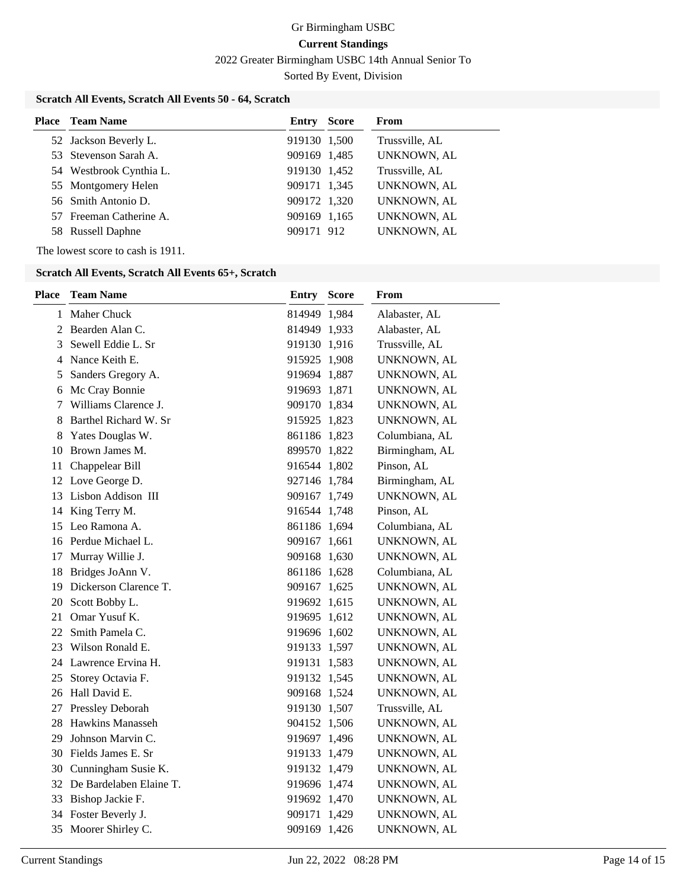2022 Greater Birmingham USBC 14th Annual Senior To

Sorted By Event, Division

# **Scratch All Events, Scratch All Events 50 - 64, Scratch**

| <b>Place</b> Team Name  | Entry        | <b>Score</b> | From           |
|-------------------------|--------------|--------------|----------------|
| 52 Jackson Beverly L.   | 919130 1.500 |              | Trussville, AL |
| 53 Stevenson Sarah A.   | 909169 1,485 |              | UNKNOWN, AL    |
| 54 Westbrook Cynthia L. | 919130 1,452 |              | Trussville, AL |
| 55 Montgomery Helen     | 909171 1,345 |              | UNKNOWN, AL    |
| 56 Smith Antonio D.     | 909172 1,320 |              | UNKNOWN, AL    |
| 57 Freeman Catherine A. | 909169 1,165 |              | UNKNOWN, AL    |
| 58 Russell Daphne       | 909171 912   |              | UNKNOWN, AL    |

The lowest score to cash is 1911.

#### **Scratch All Events, Scratch All Events 65+, Scratch**

| <b>Place</b> | <b>Team Name</b>           | <b>Entry Score</b> | From           |
|--------------|----------------------------|--------------------|----------------|
| 1            | Maher Chuck                | 814949 1,984       | Alabaster, AL  |
|              | 2 Bearden Alan C.          | 814949 1,933       | Alabaster, AL  |
| 3            | Sewell Eddie L. Sr         | 919130 1,916       | Trussville, AL |
|              | 4 Nance Keith E.           | 915925 1,908       | UNKNOWN, AL    |
| 5            | Sanders Gregory A.         | 919694 1,887       | UNKNOWN, AL    |
|              | 6 Mc Cray Bonnie           | 919693 1,871       | UNKNOWN, AL    |
| 7            | Williams Clarence J.       | 909170 1,834       | UNKNOWN, AL    |
| 8            | Barthel Richard W. Sr      | 915925 1,823       | UNKNOWN, AL    |
| 8            | Yates Douglas W.           | 861186 1,823       | Columbiana, AL |
| 10           | Brown James M.             | 899570 1,822       | Birmingham, AL |
| 11           | Chappelear Bill            | 916544 1,802       | Pinson, AL     |
|              | 12 Love George D.          | 927146 1,784       | Birmingham, AL |
| 13           | Lisbon Addison III         | 909167 1,749       | UNKNOWN, AL    |
| 14           | King Terry M.              | 916544 1,748       | Pinson, AL     |
| 15           | Leo Ramona A.              | 861186 1,694       | Columbiana, AL |
|              | 16 Perdue Michael L.       | 909167 1,661       | UNKNOWN, AL    |
| 17           | Murray Willie J.           | 909168 1,630       | UNKNOWN, AL    |
| 18           | Bridges JoAnn V.           | 861186 1,628       | Columbiana, AL |
| 19           | Dickerson Clarence T.      | 909167 1,625       | UNKNOWN, AL    |
| 20           | Scott Bobby L.             | 919692 1,615       | UNKNOWN, AL    |
| 21           | Omar Yusuf K.              | 919695 1,612       | UNKNOWN, AL    |
| 22           | Smith Pamela C.            | 919696 1,602       | UNKNOWN, AL    |
| 23           | Wilson Ronald E.           | 919133 1,597       | UNKNOWN, AL    |
| 24           | Lawrence Ervina H.         | 919131 1,583       | UNKNOWN, AL    |
| 25           | Storey Octavia F.          | 919132 1,545       | UNKNOWN, AL    |
| 26           | Hall David E.              | 909168 1,524       | UNKNOWN, AL    |
| 27           | Pressley Deborah           | 919130 1,507       | Trussville, AL |
| 28           | <b>Hawkins Manasseh</b>    | 904152 1,506       | UNKNOWN, AL    |
| 29           | Johnson Marvin C.          | 919697 1,496       | UNKNOWN, AL    |
| 30           | Fields James E. Sr         | 919133 1,479       | UNKNOWN, AL    |
|              | 30 Cunningham Susie K.     | 919132 1,479       | UNKNOWN, AL    |
|              | 32 De Bardelaben Elaine T. | 919696 1,474       | UNKNOWN, AL    |
| 33           | Bishop Jackie F.           | 919692 1,470       | UNKNOWN, AL    |
|              | 34 Foster Beverly J.       | 909171 1,429       | UNKNOWN, AL    |
|              | 35 Moorer Shirley C.       | 909169 1,426       | UNKNOWN, AL    |